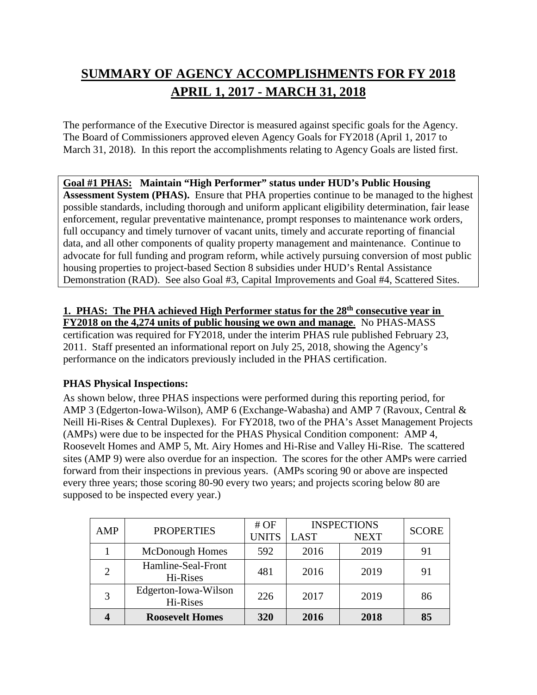# **SUMMARY OF AGENCY ACCOMPLISHMENTS FOR FY 2018 APRIL 1, 2017 - MARCH 31, 2018**

The performance of the Executive Director is measured against specific goals for the Agency. The Board of Commissioners approved eleven Agency Goals for FY2018 (April 1, 2017 to March 31, 2018). In this report the accomplishments relating to Agency Goals are listed first.

# **Goal #1 PHAS: Maintain "High Performer" status under HUD's Public Housing**

**Assessment System (PHAS).** Ensure that PHA properties continue to be managed to the highest possible standards, including thorough and uniform applicant eligibility determination, fair lease enforcement, regular preventative maintenance, prompt responses to maintenance work orders, full occupancy and timely turnover of vacant units, timely and accurate reporting of financial data, and all other components of quality property management and maintenance. Continue to advocate for full funding and program reform, while actively pursuing conversion of most public housing properties to project-based Section 8 subsidies under HUD's Rental Assistance Demonstration (RAD). See also Goal #3, Capital Improvements and Goal #4, Scattered Sites.

# **1. PHAS: The PHA achieved High Performer status for the 28th consecutive year in FY2018 on the 4,274 units of public housing we own and manage**. No PHAS-MASS certification was required for FY2018, under the interim PHAS rule published February 23, 2011. Staff presented an informational report on July 25, 2018, showing the Agency's performance on the indicators previously included in the PHAS certification.

# **PHAS Physical Inspections:**

As shown below, three PHAS inspections were performed during this reporting period, for AMP 3 (Edgerton-Iowa-Wilson), AMP 6 (Exchange-Wabasha) and AMP 7 (Ravoux, Central & Neill Hi-Rises & Central Duplexes). For FY2018, two of the PHA's Asset Management Projects (AMPs) were due to be inspected for the PHAS Physical Condition component: AMP 4, Roosevelt Homes and AMP 5, Mt. Airy Homes and Hi-Rise and Valley Hi-Rise. The scattered sites (AMP 9) were also overdue for an inspection. The scores for the other AMPs were carried forward from their inspections in previous years. (AMPs scoring 90 or above are inspected every three years; those scoring 80-90 every two years; and projects scoring below 80 are supposed to be inspected every year.)

| AMP                         | <b>PROPERTIES</b>                | $#$ OF       | <b>INSPECTIONS</b> |             | <b>SCORE</b> |
|-----------------------------|----------------------------------|--------------|--------------------|-------------|--------------|
|                             |                                  | <b>UNITS</b> | <b>LAST</b>        | <b>NEXT</b> |              |
|                             | <b>McDonough Homes</b>           | 592          | 2016               | 2019        | 91           |
| $\mathcal{D}_{\mathcal{L}}$ | Hamline-Seal-Front<br>Hi-Rises   | 481          | 2016               | 2019        | 91           |
| 3                           | Edgerton-Iowa-Wilson<br>Hi-Rises | 226          | 2017               | 2019        | 86           |
|                             | <b>Roosevelt Homes</b>           | 320          | 2016               | 2018        | 85           |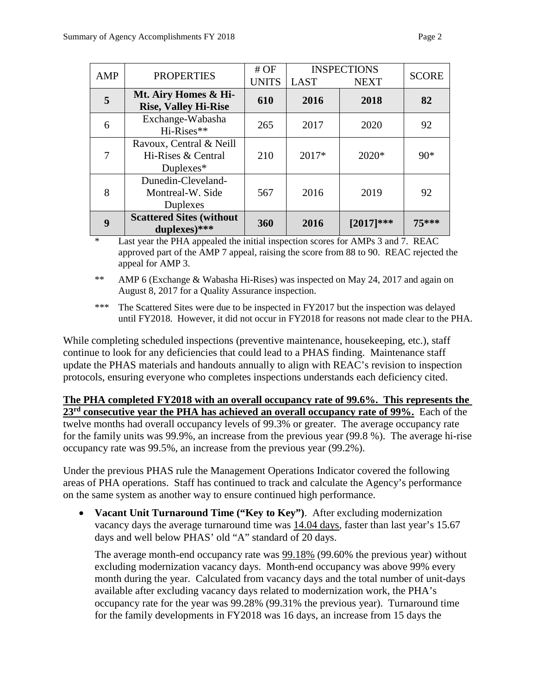| AMP | <b>PROPERTIES</b>                                             | $#$ OF<br><b>UNITS</b> | <b>LAST</b> | <b>INSPECTIONS</b><br><b>NEXT</b> | <b>SCORE</b> |
|-----|---------------------------------------------------------------|------------------------|-------------|-----------------------------------|--------------|
| 5   | Mt. Airy Homes & Hi-<br><b>Rise, Valley Hi-Rise</b>           | 610                    | 2016        | 2018                              | 82           |
| 6   | Exchange-Wabasha<br>Hi-Rises**                                | 265                    | 2017        | 2020                              | 92           |
| 7   | Ravoux, Central & Neill<br>Hi-Rises & Central<br>Duplexes $*$ | 210                    | 2017*       | $2020*$                           | $90*$        |
| 8   | Dunedin-Cleveland-<br>Montreal-W. Side<br><b>Duplexes</b>     | 567                    | 2016        | 2019                              | 92           |
| 9   | <b>Scattered Sites (without</b><br>duplexes)***               | 360                    | 2016        | $[2017]***$                       | $75***$      |

\* Last year the PHA appealed the initial inspection scores for AMPs 3 and 7. REAC approved part of the AMP 7 appeal, raising the score from 88 to 90. REAC rejected the appeal for AMP 3.

- \*\* AMP 6 (Exchange & Wabasha Hi-Rises) was inspected on May 24, 2017 and again on August 8, 2017 for a Quality Assurance inspection.
- \*\*\* The Scattered Sites were due to be inspected in FY2017 but the inspection was delayed until FY2018. However, it did not occur in FY2018 for reasons not made clear to the PHA.

While completing scheduled inspections (preventive maintenance, housekeeping, etc.), staff continue to look for any deficiencies that could lead to a PHAS finding. Maintenance staff update the PHAS materials and handouts annually to align with REAC's revision to inspection protocols, ensuring everyone who completes inspections understands each deficiency cited.

**The PHA completed FY2018 with an overall occupancy rate of 99.6%. This represents the 23rd consecutive year the PHA has achieved an overall occupancy rate of 99%.** Each of the twelve months had overall occupancy levels of 99.3% or greater. The average occupancy rate for the family units was 99.9%, an increase from the previous year (99.8 %). The average hi-rise occupancy rate was 99.5%, an increase from the previous year (99.2%).

Under the previous PHAS rule the Management Operations Indicator covered the following areas of PHA operations. Staff has continued to track and calculate the Agency's performance on the same system as another way to ensure continued high performance.

• **Vacant Unit Turnaround Time ("Key to Key")**.After excluding modernization vacancy days the average turnaround time was 14.04 days, faster than last year's 15.67 days and well below PHAS' old "A" standard of 20 days.

The average month-end occupancy rate was  $99.18\%$  (99.60% the previous year) without excluding modernization vacancy days. Month-end occupancy was above 99% every month during the year. Calculated from vacancy days and the total number of unit-days available after excluding vacancy days related to modernization work, the PHA's occupancy rate for the year was 99.28% (99.31% the previous year). Turnaround time for the family developments in FY2018 was 16 days, an increase from 15 days the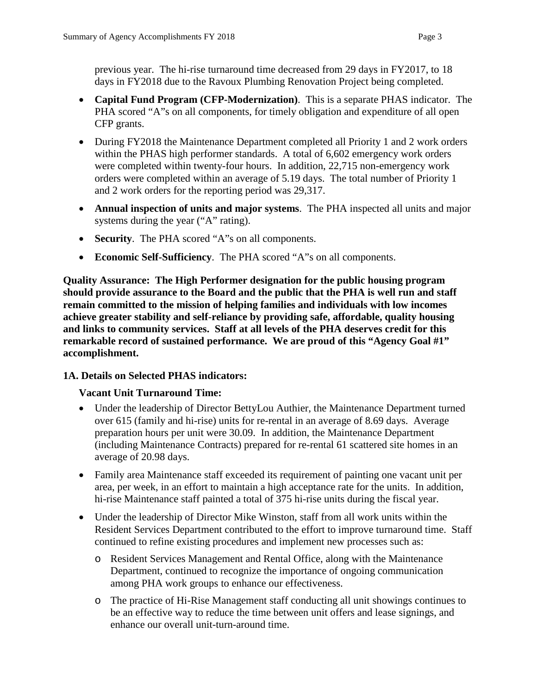previous year. The hi-rise turnaround time decreased from 29 days in FY2017, to 18 days in FY2018 due to the Ravoux Plumbing Renovation Project being completed.

- **Capital Fund Program (CFP-Modernization)**.This is a separate PHAS indicator. The PHA scored "A"s on all components, for timely obligation and expenditure of all open CFP grants.
- During FY2018 the Maintenance Department completed all Priority 1 and 2 work orders within the PHAS high performer standards. A total of 6,602 emergency work orders were completed within twenty-four hours. In addition, 22,715 non-emergency work orders were completed within an average of 5.19 days. The total number of Priority 1 and 2 work orders for the reporting period was 29,317.
- **Annual inspection of units and major systems**. The PHA inspected all units and major systems during the year ("A" rating).
- **Security**. The PHA scored "A"s on all components.
- **Economic Self-Sufficiency**. The PHA scored "A"s on all components.

**Quality Assurance: The High Performer designation for the public housing program should provide assurance to the Board and the public that the PHA is well run and staff remain committed to the mission of helping families and individuals with low incomes achieve greater stability and self-reliance by providing safe, affordable, quality housing and links to community services. Staff at all levels of the PHA deserves credit for this remarkable record of sustained performance. We are proud of this "Agency Goal #1" accomplishment.**

# **1A. Details on Selected PHAS indicators:**

# **Vacant Unit Turnaround Time:**

- Under the leadership of Director BettyLou Authier, the Maintenance Department turned over 615 (family and hi-rise) units for re-rental in an average of 8.69 days. Average preparation hours per unit were 30.09. In addition, the Maintenance Department (including Maintenance Contracts) prepared for re-rental 61 scattered site homes in an average of 20.98 days.
- Family area Maintenance staff exceeded its requirement of painting one vacant unit per area, per week, in an effort to maintain a high acceptance rate for the units. In addition, hi-rise Maintenance staff painted a total of 375 hi-rise units during the fiscal year.
- Under the leadership of Director Mike Winston, staff from all work units within the Resident Services Department contributed to the effort to improve turnaround time. Staff continued to refine existing procedures and implement new processes such as:
	- o Resident Services Management and Rental Office, along with the Maintenance Department, continued to recognize the importance of ongoing communication among PHA work groups to enhance our effectiveness.
	- o The practice of Hi-Rise Management staff conducting all unit showings continues to be an effective way to reduce the time between unit offers and lease signings, and enhance our overall unit-turn-around time.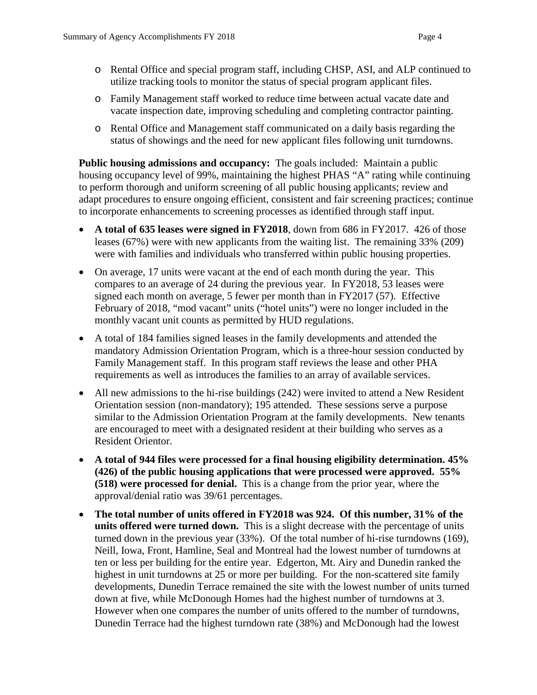- o Rental Office and special program staff, including CHSP, ASI, and ALP continued to utilize tracking tools to monitor the status of special program applicant files.
- o Family Management staff worked to reduce time between actual vacate date and vacate inspection date, improving scheduling and completing contractor painting.
- o Rental Office and Management staff communicated on a daily basis regarding the status of showings and the need for new applicant files following unit turndowns.

**Public housing admissions and occupancy:** The goals included: Maintain a public housing occupancy level of 99%, maintaining the highest PHAS "A" rating while continuing to perform thorough and uniform screening of all public housing applicants; review and adapt procedures to ensure ongoing efficient, consistent and fair screening practices; continue to incorporate enhancements to screening processes as identified through staff input.

- **A total of 635 leases were signed in FY2018**, down from 686 in FY2017. 426 of those leases (67%) were with new applicants from the waiting list. The remaining 33% (209) were with families and individuals who transferred within public housing properties.
- On average, 17 units were vacant at the end of each month during the year. This compares to an average of 24 during the previous year. In FY2018, 53 leases were signed each month on average, 5 fewer per month than in FY2017 (57). Effective February of 2018, "mod vacant" units ("hotel units") were no longer included in the monthly vacant unit counts as permitted by HUD regulations.
- A total of 184 families signed leases in the family developments and attended the mandatory Admission Orientation Program, which is a three-hour session conducted by Family Management staff. In this program staff reviews the lease and other PHA requirements as well as introduces the families to an array of available services.
- All new admissions to the hi-rise buildings (242) were invited to attend a New Resident Orientation session (non-mandatory); 195 attended. These sessions serve a purpose similar to the Admission Orientation Program at the family developments. New tenants are encouraged to meet with a designated resident at their building who serves as a Resident Orientor.
- **A total of 944 files were processed for a final housing eligibility determination. 45% (426) of the public housing applications that were processed were approved. 55% (518) were processed for denial.** This is a change from the prior year, where the approval/denial ratio was 39/61 percentages.
- **The total number of units offered in FY2018 was 924. Of this number, 31% of the units offered were turned down.** This is a slight decrease with the percentage of units turned down in the previous year (33%). Of the total number of hi-rise turndowns (169), Neill, Iowa, Front, Hamline, Seal and Montreal had the lowest number of turndowns at ten or less per building for the entire year. Edgerton, Mt. Airy and Dunedin ranked the highest in unit turndowns at 25 or more per building. For the non-scattered site family developments, Dunedin Terrace remained the site with the lowest number of units turned down at five, while McDonough Homes had the highest number of turndowns at 3. However when one compares the number of units offered to the number of turndowns, Dunedin Terrace had the highest turndown rate (38%) and McDonough had the lowest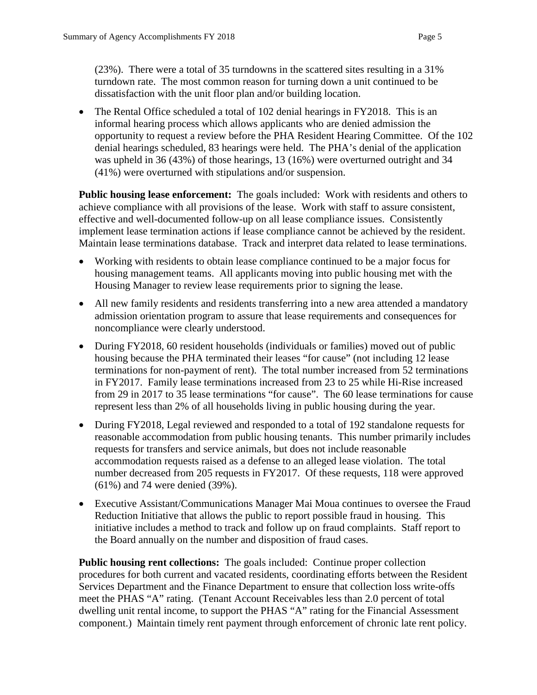(23%). There were a total of 35 turndowns in the scattered sites resulting in a 31% turndown rate. The most common reason for turning down a unit continued to be dissatisfaction with the unit floor plan and/or building location.

• The Rental Office scheduled a total of 102 denial hearings in FY2018. This is an informal hearing process which allows applicants who are denied admission the opportunity to request a review before the PHA Resident Hearing Committee. Of the 102 denial hearings scheduled, 83 hearings were held. The PHA's denial of the application was upheld in 36 (43%) of those hearings, 13 (16%) were overturned outright and 34 (41%) were overturned with stipulations and/or suspension.

**Public housing lease enforcement:** The goals included: Work with residents and others to achieve compliance with all provisions of the lease. Work with staff to assure consistent, effective and well-documented follow-up on all lease compliance issues. Consistently implement lease termination actions if lease compliance cannot be achieved by the resident. Maintain lease terminations database. Track and interpret data related to lease terminations.

- Working with residents to obtain lease compliance continued to be a major focus for housing management teams. All applicants moving into public housing met with the Housing Manager to review lease requirements prior to signing the lease.
- All new family residents and residents transferring into a new area attended a mandatory admission orientation program to assure that lease requirements and consequences for noncompliance were clearly understood.
- During FY2018, 60 resident households (individuals or families) moved out of public housing because the PHA terminated their leases "for cause" (not including 12 lease terminations for non-payment of rent). The total number increased from 52 terminations in FY2017. Family lease terminations increased from 23 to 25 while Hi-Rise increased from 29 in 2017 to 35 lease terminations "for cause". The 60 lease terminations for cause represent less than 2% of all households living in public housing during the year.
- During FY2018, Legal reviewed and responded to a total of 192 standalone requests for reasonable accommodation from public housing tenants. This number primarily includes requests for transfers and service animals, but does not include reasonable accommodation requests raised as a defense to an alleged lease violation. The total number decreased from 205 requests in FY2017. Of these requests, 118 were approved (61%) and 74 were denied (39%).
- Executive Assistant/Communications Manager Mai Moua continues to oversee the Fraud Reduction Initiative that allows the public to report possible fraud in housing. This initiative includes a method to track and follow up on fraud complaints. Staff report to the Board annually on the number and disposition of fraud cases.

**Public housing rent collections:** The goals included: Continue proper collection procedures for both current and vacated residents, coordinating efforts between the Resident Services Department and the Finance Department to ensure that collection loss write-offs meet the PHAS "A" rating. (Tenant Account Receivables less than 2.0 percent of total dwelling unit rental income, to support the PHAS "A" rating for the Financial Assessment component.) Maintain timely rent payment through enforcement of chronic late rent policy.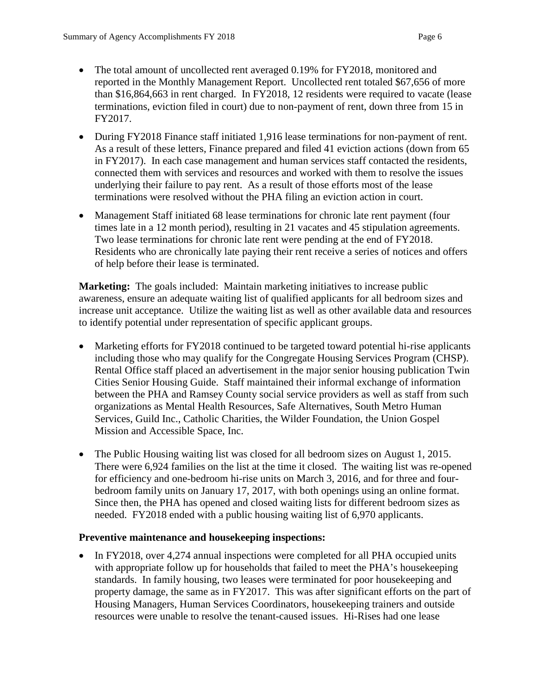- The total amount of uncollected rent averaged 0.19% for FY2018, monitored and reported in the Monthly Management Report. Uncollected rent totaled \$67,656 of more than \$16,864,663 in rent charged. In FY2018, 12 residents were required to vacate (lease terminations, eviction filed in court) due to non-payment of rent, down three from 15 in FY2017.
- During FY2018 Finance staff initiated 1,916 lease terminations for non-payment of rent. As a result of these letters, Finance prepared and filed 41 eviction actions (down from 65 in FY2017). In each case management and human services staff contacted the residents, connected them with services and resources and worked with them to resolve the issues underlying their failure to pay rent. As a result of those efforts most of the lease terminations were resolved without the PHA filing an eviction action in court.
- Management Staff initiated 68 lease terminations for chronic late rent payment (four times late in a 12 month period), resulting in 21 vacates and 45 stipulation agreements. Two lease terminations for chronic late rent were pending at the end of FY2018. Residents who are chronically late paying their rent receive a series of notices and offers of help before their lease is terminated.

**Marketing:** The goals included: Maintain marketing initiatives to increase public awareness, ensure an adequate waiting list of qualified applicants for all bedroom sizes and increase unit acceptance. Utilize the waiting list as well as other available data and resources to identify potential under representation of specific applicant groups.

- Marketing efforts for FY2018 continued to be targeted toward potential hi-rise applicants including those who may qualify for the Congregate Housing Services Program (CHSP). Rental Office staff placed an advertisement in the major senior housing publication Twin Cities Senior Housing Guide. Staff maintained their informal exchange of information between the PHA and Ramsey County social service providers as well as staff from such organizations as Mental Health Resources, Safe Alternatives, South Metro Human Services, Guild Inc., Catholic Charities, the Wilder Foundation, the Union Gospel Mission and Accessible Space, Inc.
- The Public Housing waiting list was closed for all bedroom sizes on August 1, 2015. There were 6,924 families on the list at the time it closed. The waiting list was re-opened for efficiency and one-bedroom hi-rise units on March 3, 2016, and for three and fourbedroom family units on January 17, 2017, with both openings using an online format. Since then, the PHA has opened and closed waiting lists for different bedroom sizes as needed. FY2018 ended with a public housing waiting list of 6,970 applicants.

# **Preventive maintenance and housekeeping inspections:**

• In FY2018, over 4,274 annual inspections were completed for all PHA occupied units with appropriate follow up for households that failed to meet the PHA's housekeeping standards. In family housing, two leases were terminated for poor housekeeping and property damage, the same as in FY2017. This was after significant efforts on the part of Housing Managers, Human Services Coordinators, housekeeping trainers and outside resources were unable to resolve the tenant-caused issues. Hi-Rises had one lease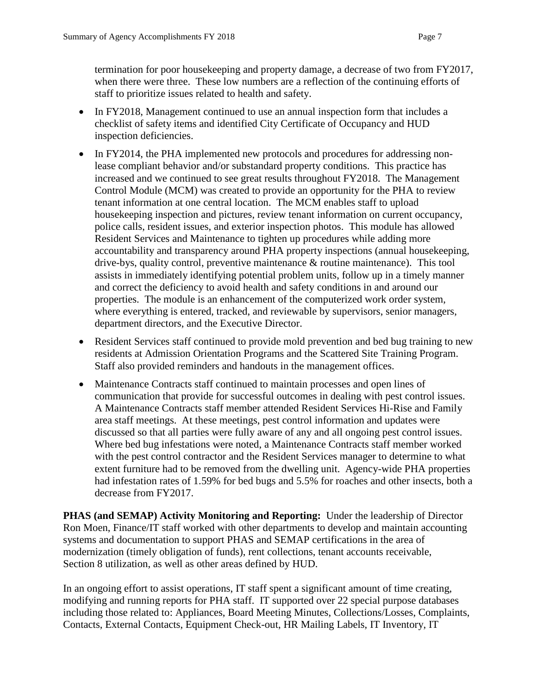termination for poor housekeeping and property damage, a decrease of two from FY2017, when there were three. These low numbers are a reflection of the continuing efforts of staff to prioritize issues related to health and safety.

- In FY2018, Management continued to use an annual inspection form that includes a checklist of safety items and identified City Certificate of Occupancy and HUD inspection deficiencies.
- In FY2014, the PHA implemented new protocols and procedures for addressing nonlease compliant behavior and/or substandard property conditions. This practice has increased and we continued to see great results throughout FY2018. The Management Control Module (MCM) was created to provide an opportunity for the PHA to review tenant information at one central location. The MCM enables staff to upload housekeeping inspection and pictures, review tenant information on current occupancy, police calls, resident issues, and exterior inspection photos. This module has allowed Resident Services and Maintenance to tighten up procedures while adding more accountability and transparency around PHA property inspections (annual housekeeping, drive-bys, quality control, preventive maintenance & routine maintenance). This tool assists in immediately identifying potential problem units, follow up in a timely manner and correct the deficiency to avoid health and safety conditions in and around our properties. The module is an enhancement of the computerized work order system, where everything is entered, tracked, and reviewable by supervisors, senior managers, department directors, and the Executive Director.
- Resident Services staff continued to provide mold prevention and bed bug training to new residents at Admission Orientation Programs and the Scattered Site Training Program. Staff also provided reminders and handouts in the management offices.
- Maintenance Contracts staff continued to maintain processes and open lines of communication that provide for successful outcomes in dealing with pest control issues. A Maintenance Contracts staff member attended Resident Services Hi-Rise and Family area staff meetings. At these meetings, pest control information and updates were discussed so that all parties were fully aware of any and all ongoing pest control issues. Where bed bug infestations were noted, a Maintenance Contracts staff member worked with the pest control contractor and the Resident Services manager to determine to what extent furniture had to be removed from the dwelling unit. Agency-wide PHA properties had infestation rates of 1.59% for bed bugs and 5.5% for roaches and other insects, both a decrease from FY2017.

**PHAS (and SEMAP) Activity Monitoring and Reporting:** Under the leadership of Director Ron Moen, Finance/IT staff worked with other departments to develop and maintain accounting systems and documentation to support PHAS and SEMAP certifications in the area of modernization (timely obligation of funds), rent collections, tenant accounts receivable, Section 8 utilization, as well as other areas defined by HUD.

In an ongoing effort to assist operations, IT staff spent a significant amount of time creating, modifying and running reports for PHA staff. IT supported over 22 special purpose databases including those related to: Appliances, Board Meeting Minutes, Collections/Losses, Complaints, Contacts, External Contacts, Equipment Check-out, HR Mailing Labels, IT Inventory, IT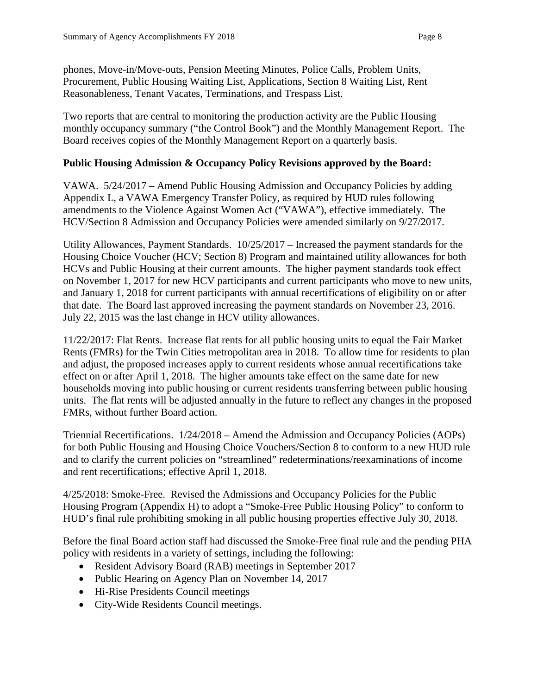phones, Move-in/Move-outs, Pension Meeting Minutes, Police Calls, Problem Units, Procurement, Public Housing Waiting List, Applications, Section 8 Waiting List, Rent Reasonableness, Tenant Vacates, Terminations, and Trespass List.

Two reports that are central to monitoring the production activity are the Public Housing monthly occupancy summary ("the Control Book") and the Monthly Management Report. The Board receives copies of the Monthly Management Report on a quarterly basis.

### **Public Housing Admission & Occupancy Policy Revisions approved by the Board:**

VAWA. 5/24/2017 – Amend Public Housing Admission and Occupancy Policies by adding Appendix L, a VAWA Emergency Transfer Policy, as required by HUD rules following amendments to the Violence Against Women Act ("VAWA"), effective immediately. The HCV/Section 8 Admission and Occupancy Policies were amended similarly on 9/27/2017.

Utility Allowances, Payment Standards. 10/25/2017 – Increased the payment standards for the Housing Choice Voucher (HCV; Section 8) Program and maintained utility allowances for both HCVs and Public Housing at their current amounts. The higher payment standards took effect on November 1, 2017 for new HCV participants and current participants who move to new units, and January 1, 2018 for current participants with annual recertifications of eligibility on or after that date. The Board last approved increasing the payment standards on November 23, 2016. July 22, 2015 was the last change in HCV utility allowances.

11/22/2017: Flat Rents. Increase flat rents for all public housing units to equal the Fair Market Rents (FMRs) for the Twin Cities metropolitan area in 2018. To allow time for residents to plan and adjust, the proposed increases apply to current residents whose annual recertifications take effect on or after April 1, 2018. The higher amounts take effect on the same date for new households moving into public housing or current residents transferring between public housing units. The flat rents will be adjusted annually in the future to reflect any changes in the proposed FMRs, without further Board action.

Triennial Recertifications. 1/24/2018 – Amend the Admission and Occupancy Policies (AOPs) for both Public Housing and Housing Choice Vouchers/Section 8 to conform to a new HUD rule and to clarify the current policies on "streamlined" redeterminations/reexaminations of income and rent recertifications; effective April 1, 2018.

4/25/2018: Smoke-Free. Revised the Admissions and Occupancy Policies for the Public Housing Program (Appendix H) to adopt a "Smoke-Free Public Housing Policy" to conform to HUD's final rule prohibiting smoking in all public housing properties effective July 30, 2018.

Before the final Board action staff had discussed the Smoke-Free final rule and the pending PHA policy with residents in a variety of settings, including the following:

- Resident Advisory Board (RAB) meetings in September 2017
- Public Hearing on Agency Plan on November 14, 2017
- Hi-Rise Presidents Council meetings
- City-Wide Residents Council meetings.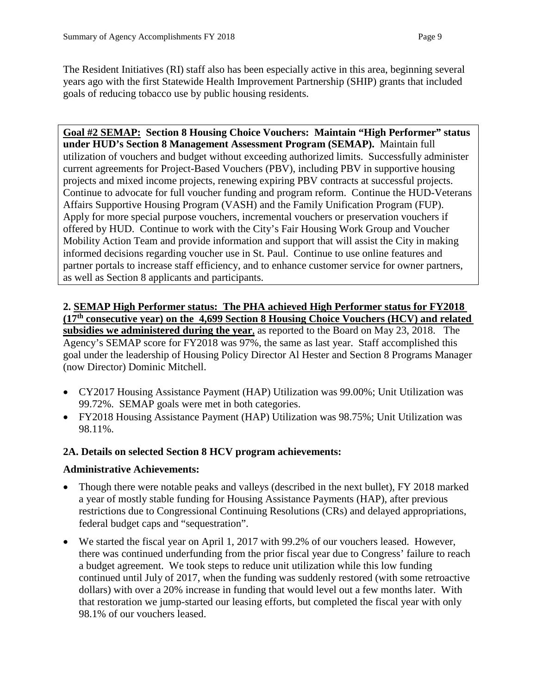The Resident Initiatives (RI) staff also has been especially active in this area, beginning several years ago with the first Statewide Health Improvement Partnership (SHIP) grants that included goals of reducing tobacco use by public housing residents.

**Goal #2 SEMAP: Section 8 Housing Choice Vouchers: Maintain "High Performer" status under HUD's Section 8 Management Assessment Program (SEMAP).** Maintain full utilization of vouchers and budget without exceeding authorized limits. Successfully administer current agreements for Project-Based Vouchers (PBV), including PBV in supportive housing projects and mixed income projects, renewing expiring PBV contracts at successful projects. Continue to advocate for full voucher funding and program reform. Continue the HUD-Veterans Affairs Supportive Housing Program (VASH) and the Family Unification Program (FUP). Apply for more special purpose vouchers, incremental vouchers or preservation vouchers if offered by HUD. Continue to work with the City's Fair Housing Work Group and Voucher Mobility Action Team and provide information and support that will assist the City in making informed decisions regarding voucher use in St. Paul. Continue to use online features and partner portals to increase staff efficiency, and to enhance customer service for owner partners, as well as Section 8 applicants and participants.

# **2. SEMAP High Performer status: The PHA achieved High Performer status for FY2018 (17th consecutive year) on the 4,699 Section 8 Housing Choice Vouchers (HCV) and related**

**subsidies we administered during the year**, as reported to the Board on May 23, 2018. The Agency's SEMAP score for FY2018 was 97%, the same as last year. Staff accomplished this goal under the leadership of Housing Policy Director Al Hester and Section 8 Programs Manager (now Director) Dominic Mitchell.

- CY2017 Housing Assistance Payment (HAP) Utilization was 99.00%; Unit Utilization was 99.72%. SEMAP goals were met in both categories.
- FY2018 Housing Assistance Payment (HAP) Utilization was 98.75%; Unit Utilization was 98.11%.

# **2A. Details on selected Section 8 HCV program achievements:**

# **Administrative Achievements:**

- Though there were notable peaks and valleys (described in the next bullet), FY 2018 marked a year of mostly stable funding for Housing Assistance Payments (HAP), after previous restrictions due to Congressional Continuing Resolutions (CRs) and delayed appropriations, federal budget caps and "sequestration".
- We started the fiscal year on April 1, 2017 with 99.2% of our vouchers leased. However, there was continued underfunding from the prior fiscal year due to Congress' failure to reach a budget agreement. We took steps to reduce unit utilization while this low funding continued until July of 2017, when the funding was suddenly restored (with some retroactive dollars) with over a 20% increase in funding that would level out a few months later. With that restoration we jump-started our leasing efforts, but completed the fiscal year with only 98.1% of our vouchers leased.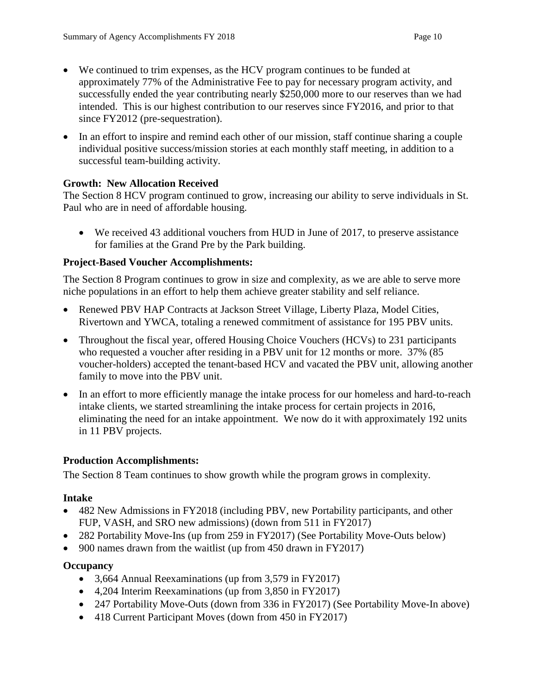- We continued to trim expenses, as the HCV program continues to be funded at approximately 77% of the Administrative Fee to pay for necessary program activity, and successfully ended the year contributing nearly \$250,000 more to our reserves than we had intended. This is our highest contribution to our reserves since FY2016, and prior to that since FY2012 (pre-sequestration).
- In an effort to inspire and remind each other of our mission, staff continue sharing a couple individual positive success/mission stories at each monthly staff meeting, in addition to a successful team-building activity.

# **Growth: New Allocation Received**

The Section 8 HCV program continued to grow, increasing our ability to serve individuals in St. Paul who are in need of affordable housing.

• We received 43 additional vouchers from HUD in June of 2017, to preserve assistance for families at the Grand Pre by the Park building.

# **Project-Based Voucher Accomplishments:**

The Section 8 Program continues to grow in size and complexity, as we are able to serve more niche populations in an effort to help them achieve greater stability and self reliance.

- Renewed PBV HAP Contracts at Jackson Street Village, Liberty Plaza, Model Cities, Rivertown and YWCA, totaling a renewed commitment of assistance for 195 PBV units.
- Throughout the fiscal year, offered Housing Choice Vouchers (HCVs) to 231 participants who requested a voucher after residing in a PBV unit for 12 months or more. 37% (85) voucher-holders) accepted the tenant-based HCV and vacated the PBV unit, allowing another family to move into the PBV unit.
- In an effort to more efficiently manage the intake process for our homeless and hard-to-reach intake clients, we started streamlining the intake process for certain projects in 2016, eliminating the need for an intake appointment. We now do it with approximately 192 units in 11 PBV projects.

# **Production Accomplishments:**

The Section 8 Team continues to show growth while the program grows in complexity.

# **Intake**

- 482 New Admissions in FY2018 (including PBV, new Portability participants, and other FUP, VASH, and SRO new admissions) (down from 511 in FY2017)
- 282 Portability Move-Ins (up from 259 in FY2017) (See Portability Move-Outs below)
- 900 names drawn from the waitlist (up from 450 drawn in FY2017)

# **Occupancy**

- 3,664 Annual Reexaminations (up from 3,579 in FY2017)
- 4,204 Interim Reexaminations (up from 3,850 in FY2017)
- 247 Portability Move-Outs (down from 336 in FY2017) (See Portability Move-In above)
- 418 Current Participant Moves (down from 450 in FY2017)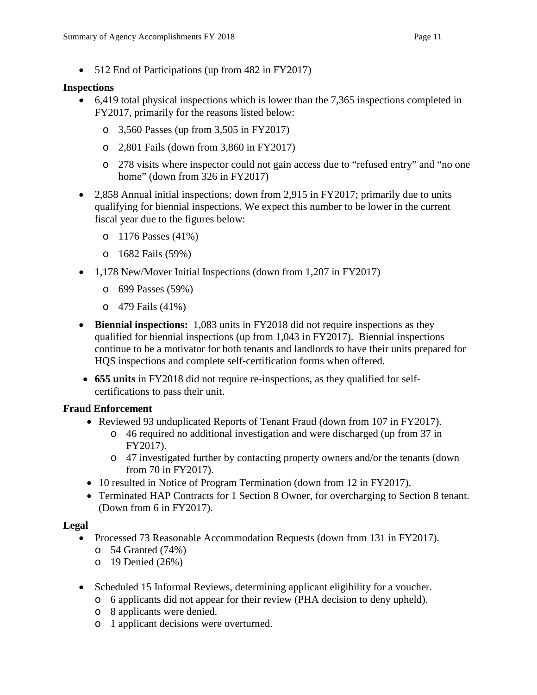### **Inspections**

- 6,419 total physical inspections which is lower than the 7,365 inspections completed in FY2017, primarily for the reasons listed below:
	- o 3,560 Passes (up from 3,505 in FY2017)
	- o 2,801 Fails (down from 3,860 in FY2017)
	- o 278 visits where inspector could not gain access due to "refused entry" and "no one home" (down from 326 in FY2017)
- 2,858 Annual initial inspections; down from 2,915 in FY2017; primarily due to units qualifying for biennial inspections. We expect this number to be lower in the current fiscal year due to the figures below:
	- o 1176 Passes (41%)
	- o 1682 Fails (59%)
- 1,178 New/Mover Initial Inspections (down from 1,207 in FY2017)
	- o 699 Passes (59%)
	- o 479 Fails (41%)
- **Biennial inspections:** 1,083 units in FY2018 did not require inspections as they qualified for biennial inspections (up from 1,043 in FY2017). Biennial inspections continue to be a motivator for both tenants and landlords to have their units prepared for HQS inspections and complete self-certification forms when offered.
- **655 units** in FY2018 did not require re-inspections, as they qualified for selfcertifications to pass their unit.

# **Fraud Enforcement**

- Reviewed 93 unduplicated Reports of Tenant Fraud (down from 107 in FY2017).
	- o 46 required no additional investigation and were discharged (up from 37 in FY2017).
	- o 47 investigated further by contacting property owners and/or the tenants (down from 70 in FY2017).
- 10 resulted in Notice of Program Termination (down from 12 in FY2017).
- Terminated HAP Contracts for 1 Section 8 Owner, for overcharging to Section 8 tenant. (Down from 6 in FY2017).

# **Legal**

- Processed 73 Reasonable Accommodation Requests (down from 131 in FY2017).
	- o 54 Granted (74%)
	- o 19 Denied (26%)
- Scheduled 15 Informal Reviews, determining applicant eligibility for a voucher.
	- o 6 applicants did not appear for their review (PHA decision to deny upheld).
	- o 8 applicants were denied.
	- o 1 applicant decisions were overturned.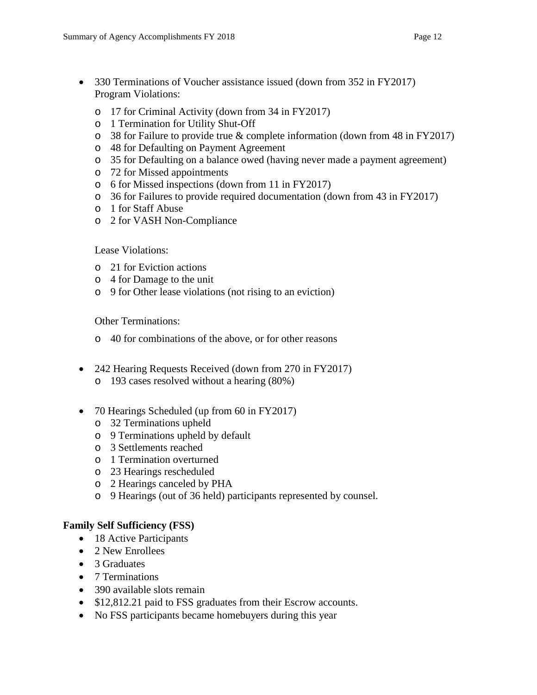- 330 Terminations of Voucher assistance issued (down from 352 in FY2017) Program Violations:
	- o 17 for Criminal Activity (down from 34 in FY2017)
	- o 1 Termination for Utility Shut-Off
	- o 38 for Failure to provide true & complete information (down from 48 in FY2017)
	- o 48 for Defaulting on Payment Agreement
	- o 35 for Defaulting on a balance owed (having never made a payment agreement)
	- o 72 for Missed appointments
	- o 6 for Missed inspections (down from 11 in FY2017)
	- o 36 for Failures to provide required documentation (down from 43 in FY2017)
	- o 1 for Staff Abuse
	- o 2 for VASH Non-Compliance

Lease Violations:

- o 21 for Eviction actions
- o 4 for Damage to the unit
- o 9 for Other lease violations (not rising to an eviction)

Other Terminations:

- o 40 for combinations of the above, or for other reasons
- 242 Hearing Requests Received (down from 270 in FY2017)
	- o 193 cases resolved without a hearing (80%)
- 70 Hearings Scheduled (up from 60 in FY2017)
	- o 32 Terminations upheld
	- o 9 Terminations upheld by default
	- o 3 Settlements reached
	- o 1 Termination overturned
	- o 23 Hearings rescheduled
	- o 2 Hearings canceled by PHA
	- o 9 Hearings (out of 36 held) participants represented by counsel.

#### **Family Self Sufficiency (FSS)**

- 18 Active Participants
- 2 New Enrollees
- 3 Graduates
- 7 Terminations
- 390 available slots remain
- \$12,812.21 paid to FSS graduates from their Escrow accounts.
- No FSS participants became homebuyers during this year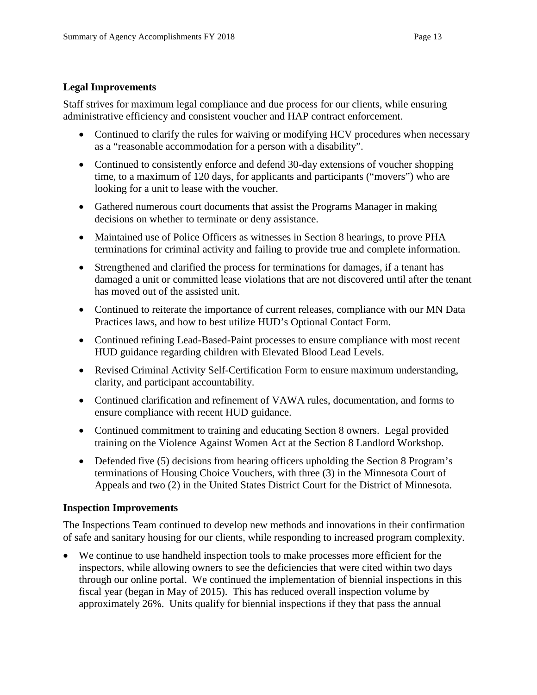### **Legal Improvements**

Staff strives for maximum legal compliance and due process for our clients, while ensuring administrative efficiency and consistent voucher and HAP contract enforcement.

- Continued to clarify the rules for waiving or modifying HCV procedures when necessary as a "reasonable accommodation for a person with a disability".
- Continued to consistently enforce and defend 30-day extensions of voucher shopping time, to a maximum of 120 days, for applicants and participants ("movers") who are looking for a unit to lease with the voucher.
- Gathered numerous court documents that assist the Programs Manager in making decisions on whether to terminate or deny assistance.
- Maintained use of Police Officers as witnesses in Section 8 hearings, to prove PHA terminations for criminal activity and failing to provide true and complete information.
- Strengthened and clarified the process for terminations for damages, if a tenant has damaged a unit or committed lease violations that are not discovered until after the tenant has moved out of the assisted unit.
- Continued to reiterate the importance of current releases, compliance with our MN Data Practices laws, and how to best utilize HUD's Optional Contact Form.
- Continued refining Lead-Based-Paint processes to ensure compliance with most recent HUD guidance regarding children with Elevated Blood Lead Levels.
- Revised Criminal Activity Self-Certification Form to ensure maximum understanding, clarity, and participant accountability.
- Continued clarification and refinement of VAWA rules, documentation, and forms to ensure compliance with recent HUD guidance.
- Continued commitment to training and educating Section 8 owners. Legal provided training on the Violence Against Women Act at the Section 8 Landlord Workshop.
- Defended five (5) decisions from hearing officers upholding the Section 8 Program's terminations of Housing Choice Vouchers, with three (3) in the Minnesota Court of Appeals and two (2) in the United States District Court for the District of Minnesota.

#### **Inspection Improvements**

The Inspections Team continued to develop new methods and innovations in their confirmation of safe and sanitary housing for our clients, while responding to increased program complexity.

• We continue to use handheld inspection tools to make processes more efficient for the inspectors, while allowing owners to see the deficiencies that were cited within two days through our online portal. We continued the implementation of biennial inspections in this fiscal year (began in May of 2015). This has reduced overall inspection volume by approximately 26%. Units qualify for biennial inspections if they that pass the annual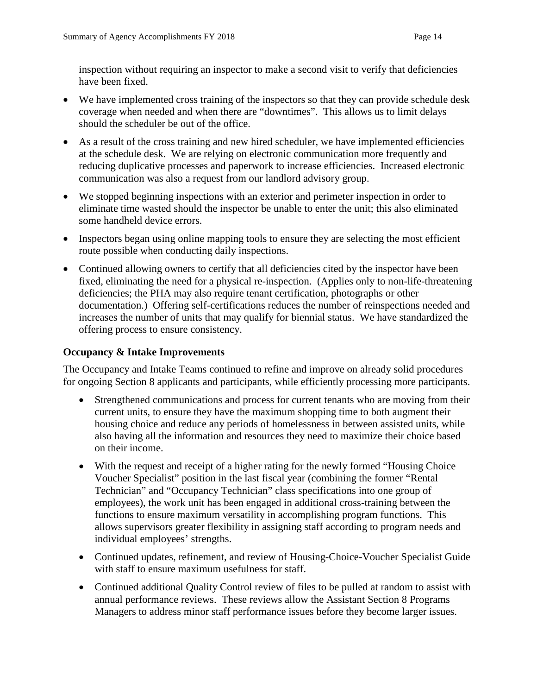inspection without requiring an inspector to make a second visit to verify that deficiencies have been fixed.

- We have implemented cross training of the inspectors so that they can provide schedule desk coverage when needed and when there are "downtimes". This allows us to limit delays should the scheduler be out of the office.
- As a result of the cross training and new hired scheduler, we have implemented efficiencies at the schedule desk. We are relying on electronic communication more frequently and reducing duplicative processes and paperwork to increase efficiencies. Increased electronic communication was also a request from our landlord advisory group.
- We stopped beginning inspections with an exterior and perimeter inspection in order to eliminate time wasted should the inspector be unable to enter the unit; this also eliminated some handheld device errors.
- Inspectors began using online mapping tools to ensure they are selecting the most efficient route possible when conducting daily inspections.
- Continued allowing owners to certify that all deficiencies cited by the inspector have been fixed, eliminating the need for a physical re-inspection. (Applies only to non-life-threatening deficiencies; the PHA may also require tenant certification, photographs or other documentation.) Offering self-certifications reduces the number of reinspections needed and increases the number of units that may qualify for biennial status. We have standardized the offering process to ensure consistency.

# **Occupancy & Intake Improvements**

The Occupancy and Intake Teams continued to refine and improve on already solid procedures for ongoing Section 8 applicants and participants, while efficiently processing more participants.

- Strengthened communications and process for current tenants who are moving from their current units, to ensure they have the maximum shopping time to both augment their housing choice and reduce any periods of homelessness in between assisted units, while also having all the information and resources they need to maximize their choice based on their income.
- With the request and receipt of a higher rating for the newly formed "Housing Choice" Voucher Specialist" position in the last fiscal year (combining the former "Rental Technician" and "Occupancy Technician" class specifications into one group of employees), the work unit has been engaged in additional cross-training between the functions to ensure maximum versatility in accomplishing program functions. This allows supervisors greater flexibility in assigning staff according to program needs and individual employees' strengths.
- Continued updates, refinement, and review of Housing-Choice-Voucher Specialist Guide with staff to ensure maximum usefulness for staff.
- Continued additional Quality Control review of files to be pulled at random to assist with annual performance reviews. These reviews allow the Assistant Section 8 Programs Managers to address minor staff performance issues before they become larger issues.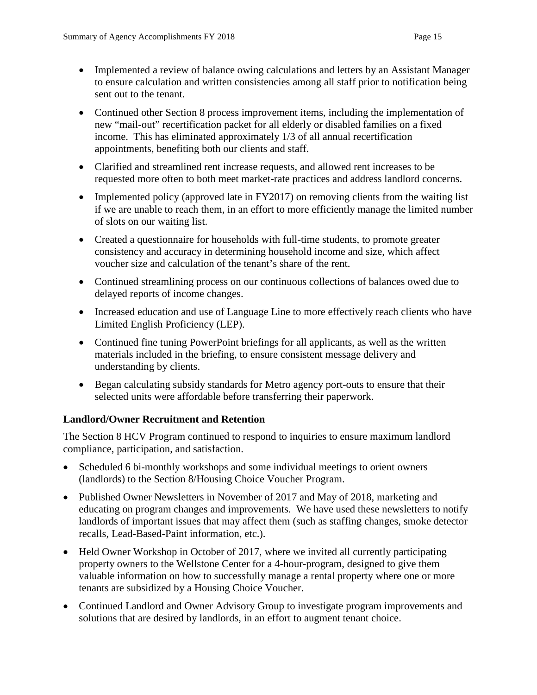- Implemented a review of balance owing calculations and letters by an Assistant Manager to ensure calculation and written consistencies among all staff prior to notification being sent out to the tenant.
- Continued other Section 8 process improvement items, including the implementation of new "mail-out" recertification packet for all elderly or disabled families on a fixed income. This has eliminated approximately 1/3 of all annual recertification appointments, benefiting both our clients and staff.
- Clarified and streamlined rent increase requests, and allowed rent increases to be requested more often to both meet market-rate practices and address landlord concerns.
- Implemented policy (approved late in FY2017) on removing clients from the waiting list if we are unable to reach them, in an effort to more efficiently manage the limited number of slots on our waiting list.
- Created a questionnaire for households with full-time students, to promote greater consistency and accuracy in determining household income and size, which affect voucher size and calculation of the tenant's share of the rent.
- Continued streamlining process on our continuous collections of balances owed due to delayed reports of income changes.
- Increased education and use of Language Line to more effectively reach clients who have Limited English Proficiency (LEP).
- Continued fine tuning PowerPoint briefings for all applicants, as well as the written materials included in the briefing, to ensure consistent message delivery and understanding by clients.
- Began calculating subsidy standards for Metro agency port-outs to ensure that their selected units were affordable before transferring their paperwork.

# **Landlord/Owner Recruitment and Retention**

The Section 8 HCV Program continued to respond to inquiries to ensure maximum landlord compliance, participation, and satisfaction.

- Scheduled 6 bi-monthly workshops and some individual meetings to orient owners (landlords) to the Section 8/Housing Choice Voucher Program.
- Published Owner Newsletters in November of 2017 and May of 2018, marketing and educating on program changes and improvements. We have used these newsletters to notify landlords of important issues that may affect them (such as staffing changes, smoke detector recalls, Lead-Based-Paint information, etc.).
- Held Owner Workshop in October of 2017, where we invited all currently participating property owners to the Wellstone Center for a 4-hour-program, designed to give them valuable information on how to successfully manage a rental property where one or more tenants are subsidized by a Housing Choice Voucher.
- Continued Landlord and Owner Advisory Group to investigate program improvements and solutions that are desired by landlords, in an effort to augment tenant choice.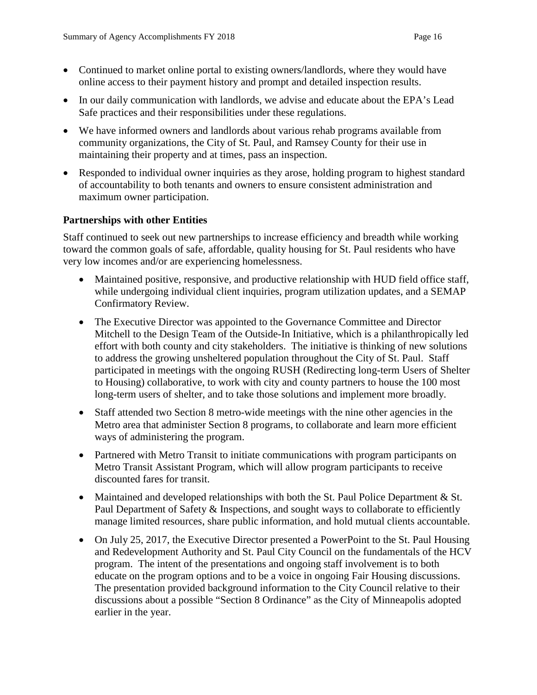- Continued to market online portal to existing owners/landlords, where they would have online access to their payment history and prompt and detailed inspection results.
- In our daily communication with landlords, we advise and educate about the EPA's Lead Safe practices and their responsibilities under these regulations.
- We have informed owners and landlords about various rehab programs available from community organizations, the City of St. Paul, and Ramsey County for their use in maintaining their property and at times, pass an inspection.
- Responded to individual owner inquiries as they arose, holding program to highest standard of accountability to both tenants and owners to ensure consistent administration and maximum owner participation.

### **Partnerships with other Entities**

Staff continued to seek out new partnerships to increase efficiency and breadth while working toward the common goals of safe, affordable, quality housing for St. Paul residents who have very low incomes and/or are experiencing homelessness.

- Maintained positive, responsive, and productive relationship with HUD field office staff, while undergoing individual client inquiries, program utilization updates, and a SEMAP Confirmatory Review.
- The Executive Director was appointed to the Governance Committee and Director Mitchell to the Design Team of the Outside-In Initiative, which is a philanthropically led effort with both county and city stakeholders. The initiative is thinking of new solutions to address the growing unsheltered population throughout the City of St. Paul. Staff participated in meetings with the ongoing RUSH (Redirecting long-term Users of Shelter to Housing) collaborative, to work with city and county partners to house the 100 most long-term users of shelter, and to take those solutions and implement more broadly.
- Staff attended two Section 8 metro-wide meetings with the nine other agencies in the Metro area that administer Section 8 programs, to collaborate and learn more efficient ways of administering the program.
- Partnered with Metro Transit to initiate communications with program participants on Metro Transit Assistant Program, which will allow program participants to receive discounted fares for transit.
- Maintained and developed relationships with both the St. Paul Police Department  $&$  St. Paul Department of Safety & Inspections, and sought ways to collaborate to efficiently manage limited resources, share public information, and hold mutual clients accountable.
- On July 25, 2017, the Executive Director presented a PowerPoint to the St. Paul Housing and Redevelopment Authority and St. Paul City Council on the fundamentals of the HCV program. The intent of the presentations and ongoing staff involvement is to both educate on the program options and to be a voice in ongoing Fair Housing discussions. The presentation provided background information to the City Council relative to their discussions about a possible "Section 8 Ordinance" as the City of Minneapolis adopted earlier in the year.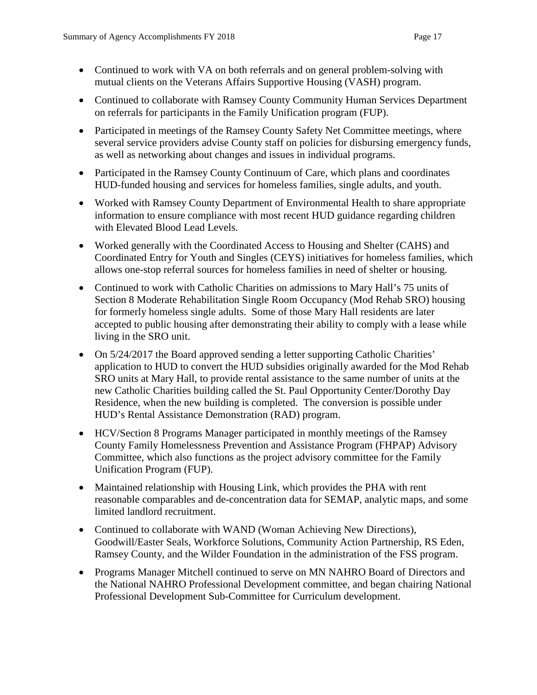- Continued to work with VA on both referrals and on general problem-solving with mutual clients on the Veterans Affairs Supportive Housing (VASH) program.
- Continued to collaborate with Ramsey County Community Human Services Department on referrals for participants in the Family Unification program (FUP).
- Participated in meetings of the Ramsey County Safety Net Committee meetings, where several service providers advise County staff on policies for disbursing emergency funds, as well as networking about changes and issues in individual programs.
- Participated in the Ramsey County Continuum of Care, which plans and coordinates HUD-funded housing and services for homeless families, single adults, and youth.
- Worked with Ramsey County Department of Environmental Health to share appropriate information to ensure compliance with most recent HUD guidance regarding children with Elevated Blood Lead Levels.
- Worked generally with the Coordinated Access to Housing and Shelter (CAHS) and Coordinated Entry for Youth and Singles (CEYS) initiatives for homeless families, which allows one-stop referral sources for homeless families in need of shelter or housing.
- Continued to work with Catholic Charities on admissions to Mary Hall's 75 units of Section 8 Moderate Rehabilitation Single Room Occupancy (Mod Rehab SRO) housing for formerly homeless single adults. Some of those Mary Hall residents are later accepted to public housing after demonstrating their ability to comply with a lease while living in the SRO unit.
- On  $5/24/2017$  the Board approved sending a letter supporting Catholic Charities' application to HUD to convert the HUD subsidies originally awarded for the Mod Rehab SRO units at Mary Hall, to provide rental assistance to the same number of units at the new Catholic Charities building called the St. Paul Opportunity Center/Dorothy Day Residence, when the new building is completed. The conversion is possible under HUD's Rental Assistance Demonstration (RAD) program.
- HCV/Section 8 Programs Manager participated in monthly meetings of the Ramsey County Family Homelessness Prevention and Assistance Program (FHPAP) Advisory Committee, which also functions as the project advisory committee for the Family Unification Program (FUP).
- Maintained relationship with Housing Link, which provides the PHA with rent reasonable comparables and de-concentration data for SEMAP, analytic maps, and some limited landlord recruitment.
- Continued to collaborate with WAND (Woman Achieving New Directions), Goodwill/Easter Seals, Workforce Solutions, Community Action Partnership, RS Eden, Ramsey County, and the Wilder Foundation in the administration of the FSS program.
- Programs Manager Mitchell continued to serve on MN NAHRO Board of Directors and the National NAHRO Professional Development committee, and began chairing National Professional Development Sub-Committee for Curriculum development.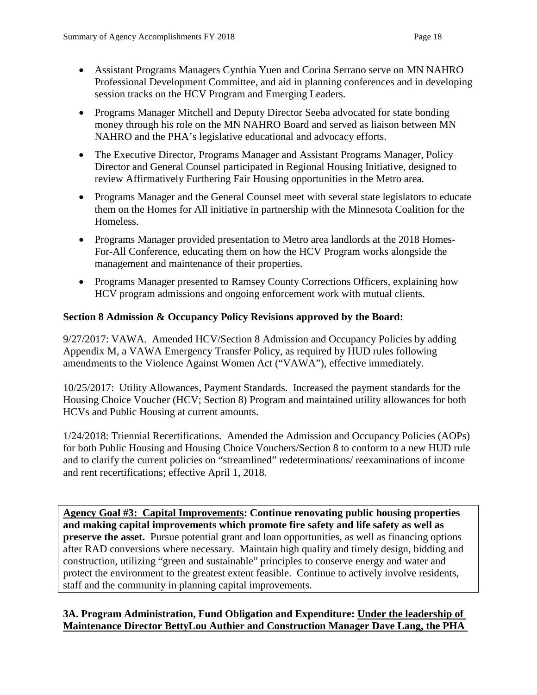- Assistant Programs Managers Cynthia Yuen and Corina Serrano serve on MN NAHRO Professional Development Committee, and aid in planning conferences and in developing session tracks on the HCV Program and Emerging Leaders.
- Programs Manager Mitchell and Deputy Director Seeba advocated for state bonding money through his role on the MN NAHRO Board and served as liaison between MN NAHRO and the PHA's legislative educational and advocacy efforts.
- The Executive Director, Programs Manager and Assistant Programs Manager, Policy Director and General Counsel participated in Regional Housing Initiative, designed to review Affirmatively Furthering Fair Housing opportunities in the Metro area.
- Programs Manager and the General Counsel meet with several state legislators to educate them on the Homes for All initiative in partnership with the Minnesota Coalition for the Homeless.
- Programs Manager provided presentation to Metro area landlords at the 2018 Homes-For-All Conference, educating them on how the HCV Program works alongside the management and maintenance of their properties.
- Programs Manager presented to Ramsey County Corrections Officers, explaining how HCV program admissions and ongoing enforcement work with mutual clients.

# **Section 8 Admission & Occupancy Policy Revisions approved by the Board:**

9/27/2017: VAWA. Amended HCV/Section 8 Admission and Occupancy Policies by adding Appendix M, a VAWA Emergency Transfer Policy, as required by HUD rules following amendments to the Violence Against Women Act ("VAWA"), effective immediately.

10/25/2017: Utility Allowances, Payment Standards. Increased the payment standards for the Housing Choice Voucher (HCV; Section 8) Program and maintained utility allowances for both HCVs and Public Housing at current amounts.

1/24/2018: Triennial Recertifications. Amended the Admission and Occupancy Policies (AOPs) for both Public Housing and Housing Choice Vouchers/Section 8 to conform to a new HUD rule and to clarify the current policies on "streamlined" redeterminations/ reexaminations of income and rent recertifications; effective April 1, 2018.

**Agency Goal #3: Capital Improvements: Continue renovating public housing properties and making capital improvements which promote fire safety and life safety as well as preserve the asset.** Pursue potential grant and loan opportunities, as well as financing options after RAD conversions where necessary. Maintain high quality and timely design, bidding and construction, utilizing "green and sustainable" principles to conserve energy and water and protect the environment to the greatest extent feasible. Continue to actively involve residents, staff and the community in planning capital improvements.

# **3A. Program Administration, Fund Obligation and Expenditure: Under the leadership of Maintenance Director BettyLou Authier and Construction Manager Dave Lang, the PHA**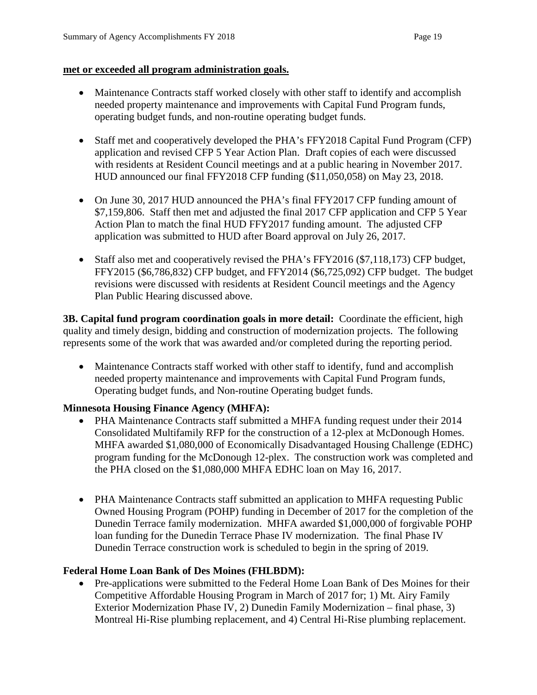#### **met or exceeded all program administration goals.**

- Maintenance Contracts staff worked closely with other staff to identify and accomplish needed property maintenance and improvements with Capital Fund Program funds, operating budget funds, and non-routine operating budget funds.
- Staff met and cooperatively developed the PHA's FFY2018 Capital Fund Program (CFP) application and revised CFP 5 Year Action Plan. Draft copies of each were discussed with residents at Resident Council meetings and at a public hearing in November 2017. HUD announced our final FFY2018 CFP funding (\$11,050,058) on May 23, 2018.
- On June 30, 2017 HUD announced the PHA's final FFY2017 CFP funding amount of \$7,159,806. Staff then met and adjusted the final 2017 CFP application and CFP 5 Year Action Plan to match the final HUD FFY2017 funding amount. The adjusted CFP application was submitted to HUD after Board approval on July 26, 2017.
- Staff also met and cooperatively revised the PHA's FFY2016 (\$7,118,173) CFP budget, FFY2015 (\$6,786,832) CFP budget, and FFY2014 (\$6,725,092) CFP budget. The budget revisions were discussed with residents at Resident Council meetings and the Agency Plan Public Hearing discussed above.

**3B. Capital fund program coordination goals in more detail:** Coordinate the efficient, high quality and timely design, bidding and construction of modernization projects. The following represents some of the work that was awarded and/or completed during the reporting period.

• Maintenance Contracts staff worked with other staff to identify, fund and accomplish needed property maintenance and improvements with Capital Fund Program funds, Operating budget funds, and Non-routine Operating budget funds.

# **Minnesota Housing Finance Agency (MHFA):**

- PHA Maintenance Contracts staff submitted a MHFA funding request under their 2014 Consolidated Multifamily RFP for the construction of a 12-plex at McDonough Homes. MHFA awarded \$1,080,000 of Economically Disadvantaged Housing Challenge (EDHC) program funding for the McDonough 12-plex. The construction work was completed and the PHA closed on the \$1,080,000 MHFA EDHC loan on May 16, 2017.
- PHA Maintenance Contracts staff submitted an application to MHFA requesting Public Owned Housing Program (POHP) funding in December of 2017 for the completion of the Dunedin Terrace family modernization. MHFA awarded \$1,000,000 of forgivable POHP loan funding for the Dunedin Terrace Phase IV modernization. The final Phase IV Dunedin Terrace construction work is scheduled to begin in the spring of 2019.

#### **Federal Home Loan Bank of Des Moines (FHLBDM):**

• Pre-applications were submitted to the Federal Home Loan Bank of Des Moines for their Competitive Affordable Housing Program in March of 2017 for; 1) Mt. Airy Family Exterior Modernization Phase IV, 2) Dunedin Family Modernization – final phase, 3) Montreal Hi-Rise plumbing replacement, and 4) Central Hi-Rise plumbing replacement.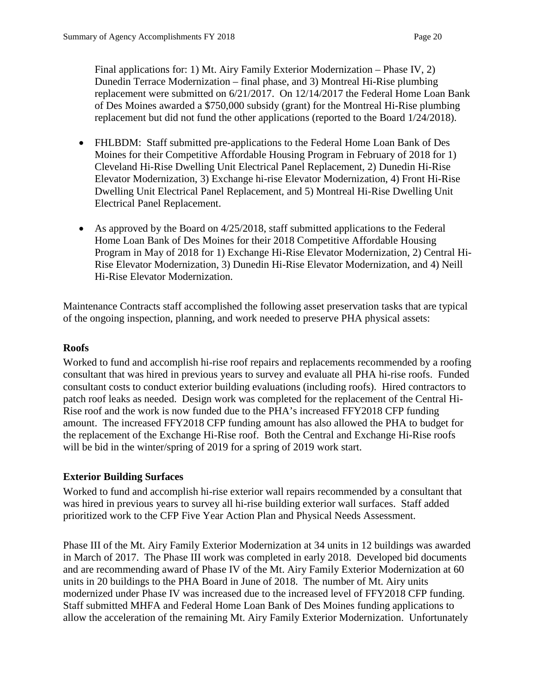Final applications for: 1) Mt. Airy Family Exterior Modernization – Phase IV, 2) Dunedin Terrace Modernization – final phase, and 3) Montreal Hi-Rise plumbing replacement were submitted on 6/21/2017. On 12/14/2017 the Federal Home Loan Bank of Des Moines awarded a \$750,000 subsidy (grant) for the Montreal Hi-Rise plumbing replacement but did not fund the other applications (reported to the Board 1/24/2018).

- FHLBDM: Staff submitted pre-applications to the Federal Home Loan Bank of Des Moines for their Competitive Affordable Housing Program in February of 2018 for 1) Cleveland Hi-Rise Dwelling Unit Electrical Panel Replacement, 2) Dunedin Hi-Rise Elevator Modernization, 3) Exchange hi-rise Elevator Modernization, 4) Front Hi-Rise Dwelling Unit Electrical Panel Replacement, and 5) Montreal Hi-Rise Dwelling Unit Electrical Panel Replacement.
- As approved by the Board on 4/25/2018, staff submitted applications to the Federal Home Loan Bank of Des Moines for their 2018 Competitive Affordable Housing Program in May of 2018 for 1) Exchange Hi-Rise Elevator Modernization, 2) Central Hi-Rise Elevator Modernization, 3) Dunedin Hi-Rise Elevator Modernization, and 4) Neill Hi-Rise Elevator Modernization.

Maintenance Contracts staff accomplished the following asset preservation tasks that are typical of the ongoing inspection, planning, and work needed to preserve PHA physical assets:

#### **Roofs**

Worked to fund and accomplish hi-rise roof repairs and replacements recommended by a roofing consultant that was hired in previous years to survey and evaluate all PHA hi-rise roofs. Funded consultant costs to conduct exterior building evaluations (including roofs). Hired contractors to patch roof leaks as needed. Design work was completed for the replacement of the Central Hi-Rise roof and the work is now funded due to the PHA's increased FFY2018 CFP funding amount. The increased FFY2018 CFP funding amount has also allowed the PHA to budget for the replacement of the Exchange Hi-Rise roof. Both the Central and Exchange Hi-Rise roofs will be bid in the winter/spring of 2019 for a spring of 2019 work start.

#### **Exterior Building Surfaces**

Worked to fund and accomplish hi-rise exterior wall repairs recommended by a consultant that was hired in previous years to survey all hi-rise building exterior wall surfaces. Staff added prioritized work to the CFP Five Year Action Plan and Physical Needs Assessment.

Phase III of the Mt. Airy Family Exterior Modernization at 34 units in 12 buildings was awarded in March of 2017. The Phase III work was completed in early 2018. Developed bid documents and are recommending award of Phase IV of the Mt. Airy Family Exterior Modernization at 60 units in 20 buildings to the PHA Board in June of 2018. The number of Mt. Airy units modernized under Phase IV was increased due to the increased level of FFY2018 CFP funding. Staff submitted MHFA and Federal Home Loan Bank of Des Moines funding applications to allow the acceleration of the remaining Mt. Airy Family Exterior Modernization. Unfortunately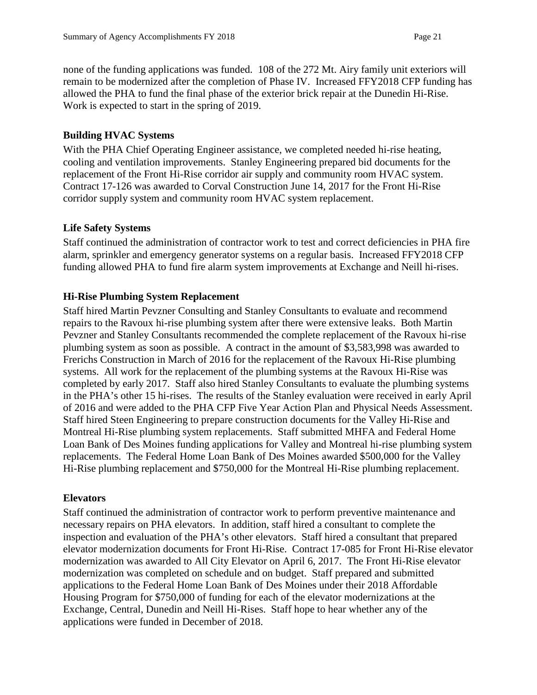none of the funding applications was funded. 108 of the 272 Mt. Airy family unit exteriors will remain to be modernized after the completion of Phase IV. Increased FFY2018 CFP funding has allowed the PHA to fund the final phase of the exterior brick repair at the Dunedin Hi-Rise. Work is expected to start in the spring of 2019.

### **Building HVAC Systems**

With the PHA Chief Operating Engineer assistance, we completed needed hi-rise heating, cooling and ventilation improvements. Stanley Engineering prepared bid documents for the replacement of the Front Hi-Rise corridor air supply and community room HVAC system. Contract 17-126 was awarded to Corval Construction June 14, 2017 for the Front Hi-Rise corridor supply system and community room HVAC system replacement.

### **Life Safety Systems**

Staff continued the administration of contractor work to test and correct deficiencies in PHA fire alarm, sprinkler and emergency generator systems on a regular basis. Increased FFY2018 CFP funding allowed PHA to fund fire alarm system improvements at Exchange and Neill hi-rises.

### **Hi-Rise Plumbing System Replacement**

Staff hired Martin Pevzner Consulting and Stanley Consultants to evaluate and recommend repairs to the Ravoux hi-rise plumbing system after there were extensive leaks. Both Martin Pevzner and Stanley Consultants recommended the complete replacement of the Ravoux hi-rise plumbing system as soon as possible. A contract in the amount of \$3,583,998 was awarded to Frerichs Construction in March of 2016 for the replacement of the Ravoux Hi-Rise plumbing systems. All work for the replacement of the plumbing systems at the Ravoux Hi-Rise was completed by early 2017. Staff also hired Stanley Consultants to evaluate the plumbing systems in the PHA's other 15 hi-rises. The results of the Stanley evaluation were received in early April of 2016 and were added to the PHA CFP Five Year Action Plan and Physical Needs Assessment. Staff hired Steen Engineering to prepare construction documents for the Valley Hi-Rise and Montreal Hi-Rise plumbing system replacements. Staff submitted MHFA and Federal Home Loan Bank of Des Moines funding applications for Valley and Montreal hi-rise plumbing system replacements. The Federal Home Loan Bank of Des Moines awarded \$500,000 for the Valley Hi-Rise plumbing replacement and \$750,000 for the Montreal Hi-Rise plumbing replacement.

#### **Elevators**

Staff continued the administration of contractor work to perform preventive maintenance and necessary repairs on PHA elevators. In addition, staff hired a consultant to complete the inspection and evaluation of the PHA's other elevators. Staff hired a consultant that prepared elevator modernization documents for Front Hi-Rise. Contract 17-085 for Front Hi-Rise elevator modernization was awarded to All City Elevator on April 6, 2017. The Front Hi-Rise elevator modernization was completed on schedule and on budget. Staff prepared and submitted applications to the Federal Home Loan Bank of Des Moines under their 2018 Affordable Housing Program for \$750,000 of funding for each of the elevator modernizations at the Exchange, Central, Dunedin and Neill Hi-Rises. Staff hope to hear whether any of the applications were funded in December of 2018.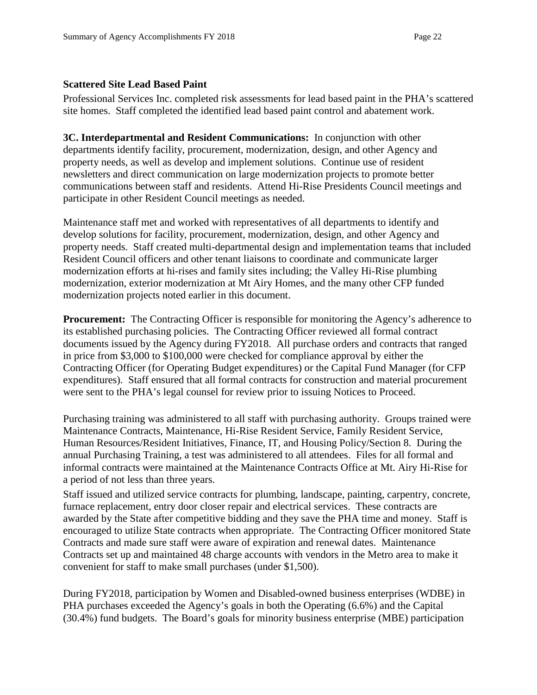### **Scattered Site Lead Based Paint**

Professional Services Inc. completed risk assessments for lead based paint in the PHA's scattered site homes. Staff completed the identified lead based paint control and abatement work.

**3C. Interdepartmental and Resident Communications:** In conjunction with other departments identify facility, procurement, modernization, design, and other Agency and property needs, as well as develop and implement solutions. Continue use of resident newsletters and direct communication on large modernization projects to promote better communications between staff and residents. Attend Hi-Rise Presidents Council meetings and participate in other Resident Council meetings as needed.

Maintenance staff met and worked with representatives of all departments to identify and develop solutions for facility, procurement, modernization, design, and other Agency and property needs. Staff created multi-departmental design and implementation teams that included Resident Council officers and other tenant liaisons to coordinate and communicate larger modernization efforts at hi-rises and family sites including; the Valley Hi-Rise plumbing modernization, exterior modernization at Mt Airy Homes, and the many other CFP funded modernization projects noted earlier in this document.

**Procurement:** The Contracting Officer is responsible for monitoring the Agency's adherence to its established purchasing policies. The Contracting Officer reviewed all formal contract documents issued by the Agency during FY2018. All purchase orders and contracts that ranged in price from \$3,000 to \$100,000 were checked for compliance approval by either the Contracting Officer (for Operating Budget expenditures) or the Capital Fund Manager (for CFP expenditures). Staff ensured that all formal contracts for construction and material procurement were sent to the PHA's legal counsel for review prior to issuing Notices to Proceed.

Purchasing training was administered to all staff with purchasing authority. Groups trained were Maintenance Contracts, Maintenance, Hi-Rise Resident Service, Family Resident Service, Human Resources/Resident Initiatives, Finance, IT, and Housing Policy/Section 8. During the annual Purchasing Training, a test was administered to all attendees. Files for all formal and informal contracts were maintained at the Maintenance Contracts Office at Mt. Airy Hi-Rise for a period of not less than three years.

Staff issued and utilized service contracts for plumbing, landscape, painting, carpentry, concrete, furnace replacement, entry door closer repair and electrical services. These contracts are awarded by the State after competitive bidding and they save the PHA time and money. Staff is encouraged to utilize State contracts when appropriate. The Contracting Officer monitored State Contracts and made sure staff were aware of expiration and renewal dates. Maintenance Contracts set up and maintained 48 charge accounts with vendors in the Metro area to make it convenient for staff to make small purchases (under \$1,500).

During FY2018, participation by Women and Disabled-owned business enterprises (WDBE) in PHA purchases exceeded the Agency's goals in both the Operating (6.6%) and the Capital (30.4%) fund budgets. The Board's goals for minority business enterprise (MBE) participation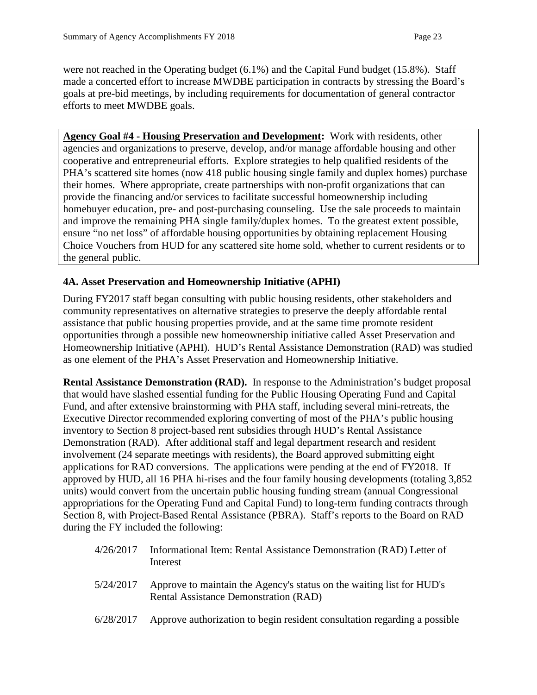were not reached in the Operating budget (6.1%) and the Capital Fund budget (15.8%). Staff made a concerted effort to increase MWDBE participation in contracts by stressing the Board's goals at pre-bid meetings, by including requirements for documentation of general contractor efforts to meet MWDBE goals.

**Agency Goal #4 - Housing Preservation and Development:** Work with residents, other agencies and organizations to preserve, develop, and/or manage affordable housing and other cooperative and entrepreneurial efforts. Explore strategies to help qualified residents of the PHA's scattered site homes (now 418 public housing single family and duplex homes) purchase their homes. Where appropriate, create partnerships with non-profit organizations that can provide the financing and/or services to facilitate successful homeownership including homebuyer education, pre- and post-purchasing counseling. Use the sale proceeds to maintain and improve the remaining PHA single family/duplex homes. To the greatest extent possible, ensure "no net loss" of affordable housing opportunities by obtaining replacement Housing Choice Vouchers from HUD for any scattered site home sold, whether to current residents or to the general public.

# **4A. Asset Preservation and Homeownership Initiative (APHI)**

During FY2017 staff began consulting with public housing residents, other stakeholders and community representatives on alternative strategies to preserve the deeply affordable rental assistance that public housing properties provide, and at the same time promote resident opportunities through a possible new homeownership initiative called Asset Preservation and Homeownership Initiative (APHI). HUD's Rental Assistance Demonstration (RAD) was studied as one element of the PHA's Asset Preservation and Homeownership Initiative.

**Rental Assistance Demonstration (RAD).** In response to the Administration's budget proposal that would have slashed essential funding for the Public Housing Operating Fund and Capital Fund, and after extensive brainstorming with PHA staff, including several mini-retreats, the Executive Director recommended exploring converting of most of the PHA's public housing inventory to Section 8 project-based rent subsidies through HUD's Rental Assistance Demonstration (RAD). After additional staff and legal department research and resident involvement (24 separate meetings with residents), the Board approved submitting eight applications for RAD conversions. The applications were pending at the end of FY2018. If approved by HUD, all 16 PHA hi-rises and the four family housing developments (totaling 3,852 units) would convert from the uncertain public housing funding stream (annual Congressional appropriations for the Operating Fund and Capital Fund) to long-term funding contracts through Section 8, with Project-Based Rental Assistance (PBRA). Staff's reports to the Board on RAD during the FY included the following:

| 4/26/2017 Informational Item: Rental Assistance Demonstration (RAD) Letter of |
|-------------------------------------------------------------------------------|
| Interest                                                                      |

- 5/24/2017 Approve to maintain the Agency's status on the waiting list for HUD's Rental Assistance Demonstration (RAD)
- 6/28/2017 Approve authorization to begin resident consultation regarding a possible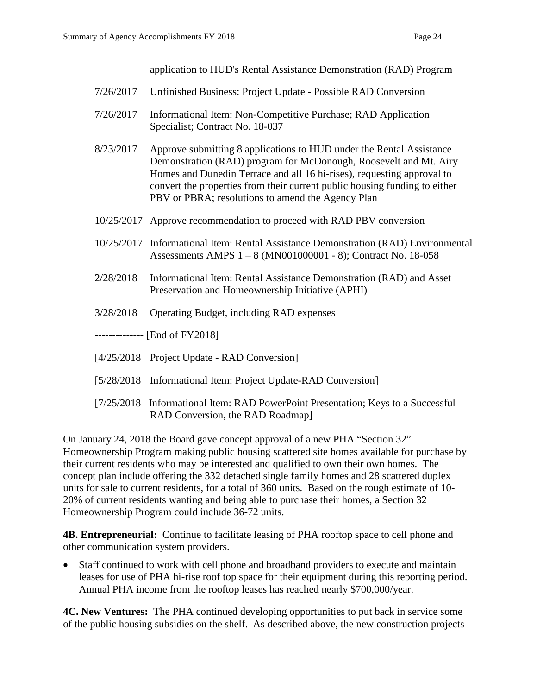application to HUD's Rental Assistance Demonstration (RAD) Program

- 7/26/2017 Unfinished Business: Project Update Possible RAD Conversion
- 7/26/2017 Informational Item: Non-Competitive Purchase; RAD Application Specialist; Contract No. 18-037
- 8/23/2017 Approve submitting 8 applications to HUD under the Rental Assistance Demonstration (RAD) program for McDonough, Roosevelt and Mt. Airy Homes and Dunedin Terrace and all 16 hi-rises), requesting approval to convert the properties from their current public housing funding to either PBV or PBRA; resolutions to amend the Agency Plan
- 10/25/2017 Approve recommendation to proceed with RAD PBV conversion
- 10/25/2017 Informational Item: Rental Assistance Demonstration (RAD) Environmental Assessments AMPS 1 – 8 (MN001000001 - 8); Contract No. 18-058
- 2/28/2018 Informational Item: Rental Assistance Demonstration (RAD) and Asset Preservation and Homeownership Initiative (APHI)
- 3/28/2018 Operating Budget, including RAD expenses
- -------------- [End of FY2018]
- [4/25/2018 Project Update RAD Conversion]
- [5/28/2018 Informational Item: Project Update-RAD Conversion]
- [7/25/2018 Informational Item: RAD PowerPoint Presentation; Keys to a Successful RAD Conversion, the RAD Roadmap]

On January 24, 2018 the Board gave concept approval of a new PHA "Section 32" Homeownership Program making public housing scattered site homes available for purchase by their current residents who may be interested and qualified to own their own homes. The concept plan include offering the 332 detached single family homes and 28 scattered duplex units for sale to current residents, for a total of 360 units. Based on the rough estimate of 10- 20% of current residents wanting and being able to purchase their homes, a Section 32 Homeownership Program could include 36-72 units.

**4B. Entrepreneurial:** Continue to facilitate leasing of PHA rooftop space to cell phone and other communication system providers.

• Staff continued to work with cell phone and broadband providers to execute and maintain leases for use of PHA hi-rise roof top space for their equipment during this reporting period. Annual PHA income from the rooftop leases has reached nearly \$700,000/year.

**4C. New Ventures:** The PHA continued developing opportunities to put back in service some of the public housing subsidies on the shelf. As described above, the new construction projects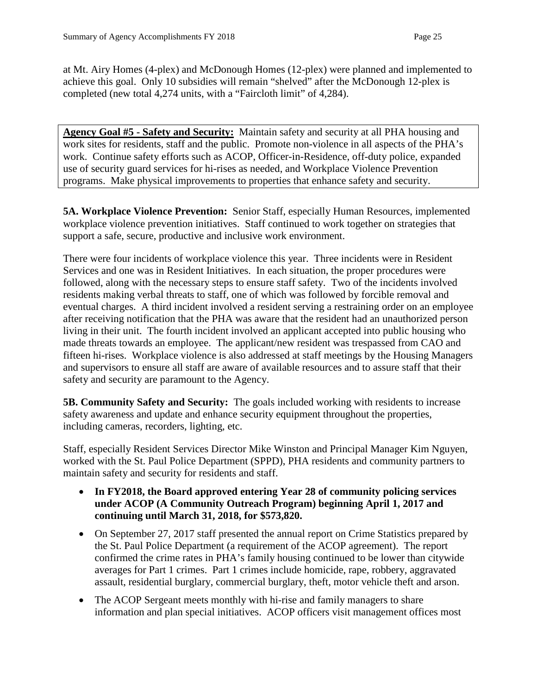at Mt. Airy Homes (4-plex) and McDonough Homes (12-plex) were planned and implemented to achieve this goal. Only 10 subsidies will remain "shelved" after the McDonough 12-plex is completed (new total 4,274 units, with a "Faircloth limit" of 4,284).

**Agency Goal #5 - Safety and Security:** Maintain safety and security at all PHA housing and work sites for residents, staff and the public. Promote non-violence in all aspects of the PHA's work. Continue safety efforts such as ACOP, Officer-in-Residence, off-duty police, expanded use of security guard services for hi-rises as needed, and Workplace Violence Prevention programs. Make physical improvements to properties that enhance safety and security.

**5A. Workplace Violence Prevention:** Senior Staff, especially Human Resources, implemented workplace violence prevention initiatives. Staff continued to work together on strategies that support a safe, secure, productive and inclusive work environment.

There were four incidents of workplace violence this year. Three incidents were in Resident Services and one was in Resident Initiatives. In each situation, the proper procedures were followed, along with the necessary steps to ensure staff safety. Two of the incidents involved residents making verbal threats to staff, one of which was followed by forcible removal and eventual charges. A third incident involved a resident serving a restraining order on an employee after receiving notification that the PHA was aware that the resident had an unauthorized person living in their unit. The fourth incident involved an applicant accepted into public housing who made threats towards an employee. The applicant/new resident was trespassed from CAO and fifteen hi-rises. Workplace violence is also addressed at staff meetings by the Housing Managers and supervisors to ensure all staff are aware of available resources and to assure staff that their safety and security are paramount to the Agency.

**5B. Community Safety and Security:** The goals included working with residents to increase safety awareness and update and enhance security equipment throughout the properties, including cameras, recorders, lighting, etc.

Staff, especially Resident Services Director Mike Winston and Principal Manager Kim Nguyen, worked with the St. Paul Police Department (SPPD), PHA residents and community partners to maintain safety and security for residents and staff.

- **In FY2018, the Board approved entering Year 28 of community policing services under ACOP (A Community Outreach Program) beginning April 1, 2017 and continuing until March 31, 2018, for \$573,820.**
- On September 27, 2017 staff presented the annual report on Crime Statistics prepared by the St. Paul Police Department (a requirement of the ACOP agreement). The report confirmed the crime rates in PHA's family housing continued to be lower than citywide averages for Part 1 crimes. Part 1 crimes include homicide, rape, robbery, aggravated assault, residential burglary, commercial burglary, theft, motor vehicle theft and arson.
- The ACOP Sergeant meets monthly with hi-rise and family managers to share information and plan special initiatives. ACOP officers visit management offices most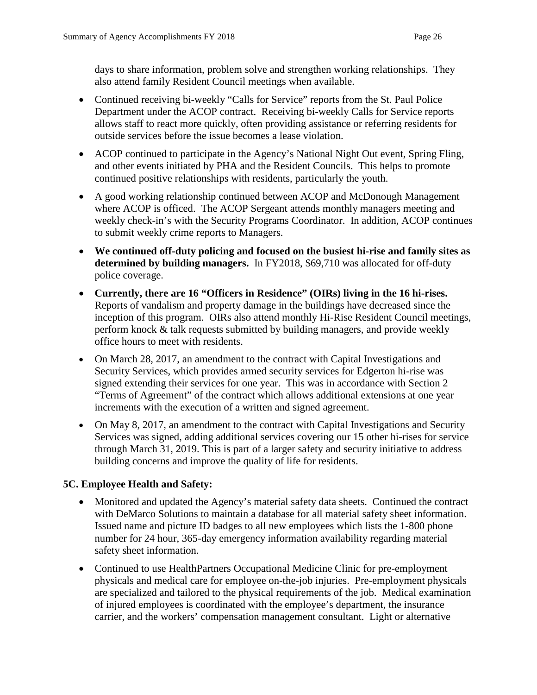days to share information, problem solve and strengthen working relationships. They also attend family Resident Council meetings when available.

- Continued receiving bi-weekly "Calls for Service" reports from the St. Paul Police Department under the ACOP contract. Receiving bi-weekly Calls for Service reports allows staff to react more quickly, often providing assistance or referring residents for outside services before the issue becomes a lease violation.
- ACOP continued to participate in the Agency's National Night Out event, Spring Fling, and other events initiated by PHA and the Resident Councils. This helps to promote continued positive relationships with residents, particularly the youth.
- A good working relationship continued between ACOP and McDonough Management where ACOP is officed. The ACOP Sergeant attends monthly managers meeting and weekly check-in's with the Security Programs Coordinator. In addition, ACOP continues to submit weekly crime reports to Managers.
- **We continued off-duty policing and focused on the busiest hi-rise and family sites as determined by building managers.** In FY2018, \$69,710 was allocated for off-duty police coverage.
- **Currently, there are 16 "Officers in Residence" (OIRs) living in the 16 hi-rises.** Reports of vandalism and property damage in the buildings have decreased since the inception of this program. OIRs also attend monthly Hi-Rise Resident Council meetings, perform knock & talk requests submitted by building managers, and provide weekly office hours to meet with residents.
- On March 28, 2017, an amendment to the contract with Capital Investigations and Security Services, which provides armed security services for Edgerton hi-rise was signed extending their services for one year. This was in accordance with Section 2 "Terms of Agreement" of the contract which allows additional extensions at one year increments with the execution of a written and signed agreement.
- On May 8, 2017, an amendment to the contract with Capital Investigations and Security Services was signed, adding additional services covering our 15 other hi-rises for service through March 31, 2019. This is part of a larger safety and security initiative to address building concerns and improve the quality of life for residents.

# **5C. Employee Health and Safety:**

- Monitored and updated the Agency's material safety data sheets. Continued the contract with DeMarco Solutions to maintain a database for all material safety sheet information. Issued name and picture ID badges to all new employees which lists the 1-800 phone number for 24 hour, 365-day emergency information availability regarding material safety sheet information.
- Continued to use HealthPartners Occupational Medicine Clinic for pre-employment physicals and medical care for employee on-the-job injuries. Pre-employment physicals are specialized and tailored to the physical requirements of the job. Medical examination of injured employees is coordinated with the employee's department, the insurance carrier, and the workers' compensation management consultant. Light or alternative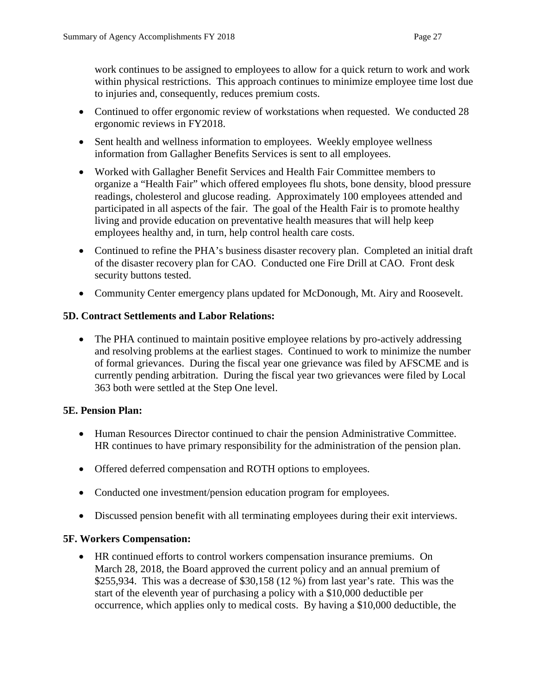work continues to be assigned to employees to allow for a quick return to work and work within physical restrictions. This approach continues to minimize employee time lost due to injuries and, consequently, reduces premium costs.

- Continued to offer ergonomic review of workstations when requested. We conducted 28 ergonomic reviews in FY2018.
- Sent health and wellness information to employees. Weekly employee wellness information from Gallagher Benefits Services is sent to all employees.
- Worked with Gallagher Benefit Services and Health Fair Committee members to organize a "Health Fair" which offered employees flu shots, bone density, blood pressure readings, cholesterol and glucose reading. Approximately 100 employees attended and participated in all aspects of the fair. The goal of the Health Fair is to promote healthy living and provide education on preventative health measures that will help keep employees healthy and, in turn, help control health care costs.
- Continued to refine the PHA's business disaster recovery plan. Completed an initial draft of the disaster recovery plan for CAO. Conducted one Fire Drill at CAO. Front desk security buttons tested.
- Community Center emergency plans updated for McDonough, Mt. Airy and Roosevelt.

# **5D. Contract Settlements and Labor Relations:**

• The PHA continued to maintain positive employee relations by pro-actively addressing and resolving problems at the earliest stages. Continued to work to minimize the number of formal grievances. During the fiscal year one grievance was filed by AFSCME and is currently pending arbitration. During the fiscal year two grievances were filed by Local 363 both were settled at the Step One level.

# **5E. Pension Plan:**

- Human Resources Director continued to chair the pension Administrative Committee. HR continues to have primary responsibility for the administration of the pension plan.
- Offered deferred compensation and ROTH options to employees.
- Conducted one investment/pension education program for employees.
- Discussed pension benefit with all terminating employees during their exit interviews.

# **5F. Workers Compensation:**

• HR continued efforts to control workers compensation insurance premiums. On March 28, 2018, the Board approved the current policy and an annual premium of \$255,934. This was a decrease of \$30,158 (12 %) from last year's rate. This was the start of the eleventh year of purchasing a policy with a \$10,000 deductible per occurrence, which applies only to medical costs. By having a \$10,000 deductible, the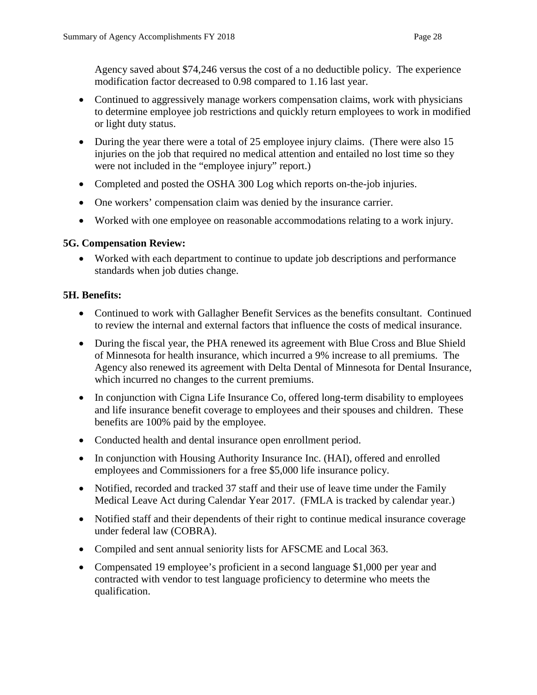Agency saved about \$74,246 versus the cost of a no deductible policy. The experience modification factor decreased to 0.98 compared to 1.16 last year.

- Continued to aggressively manage workers compensation claims, work with physicians to determine employee job restrictions and quickly return employees to work in modified or light duty status.
- During the year there were a total of 25 employee injury claims. (There were also 15 injuries on the job that required no medical attention and entailed no lost time so they were not included in the "employee injury" report.)
- Completed and posted the OSHA 300 Log which reports on-the-job injuries.
- One workers' compensation claim was denied by the insurance carrier.
- Worked with one employee on reasonable accommodations relating to a work injury.

# **5G. Compensation Review:**

• Worked with each department to continue to update job descriptions and performance standards when job duties change.

# **5H. Benefits:**

- Continued to work with Gallagher Benefit Services as the benefits consultant. Continued to review the internal and external factors that influence the costs of medical insurance.
- During the fiscal year, the PHA renewed its agreement with Blue Cross and Blue Shield of Minnesota for health insurance, which incurred a 9% increase to all premiums. The Agency also renewed its agreement with Delta Dental of Minnesota for Dental Insurance, which incurred no changes to the current premiums.
- In conjunction with Cigna Life Insurance Co, offered long-term disability to employees and life insurance benefit coverage to employees and their spouses and children. These benefits are 100% paid by the employee.
- Conducted health and dental insurance open enrollment period.
- In conjunction with Housing Authority Insurance Inc. (HAI), offered and enrolled employees and Commissioners for a free \$5,000 life insurance policy.
- Notified, recorded and tracked 37 staff and their use of leave time under the Family Medical Leave Act during Calendar Year 2017. (FMLA is tracked by calendar year.)
- Notified staff and their dependents of their right to continue medical insurance coverage under federal law (COBRA).
- Compiled and sent annual seniority lists for AFSCME and Local 363.
- Compensated 19 employee's proficient in a second language \$1,000 per year and contracted with vendor to test language proficiency to determine who meets the qualification.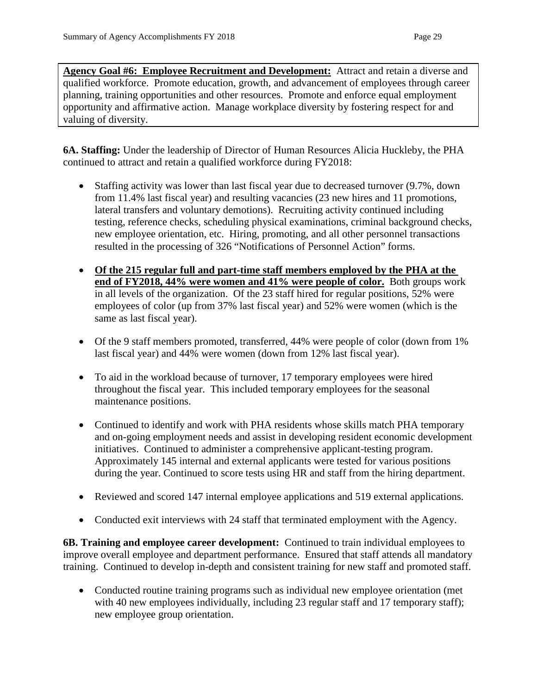**Agency Goal #6: Employee Recruitment and Development:** Attract and retain a diverse and qualified workforce. Promote education, growth, and advancement of employees through career planning, training opportunities and other resources. Promote and enforce equal employment opportunity and affirmative action. Manage workplace diversity by fostering respect for and valuing of diversity.

**6A. Staffing:** Under the leadership of Director of Human Resources Alicia Huckleby, the PHA continued to attract and retain a qualified workforce during FY2018:

- Staffing activity was lower than last fiscal year due to decreased turnover (9.7%, down from 11.4% last fiscal year) and resulting vacancies (23 new hires and 11 promotions, lateral transfers and voluntary demotions). Recruiting activity continued including testing, reference checks, scheduling physical examinations, criminal background checks, new employee orientation, etc. Hiring, promoting, and all other personnel transactions resulted in the processing of 326 "Notifications of Personnel Action" forms.
- **Of the 215 regular full and part-time staff members employed by the PHA at the end of FY2018, 44% were women and 41% were people of color.** Both groups work in all levels of the organization. Of the 23 staff hired for regular positions, 52% were employees of color (up from 37% last fiscal year) and 52% were women (which is the same as last fiscal year).
- Of the 9 staff members promoted, transferred, 44% were people of color (down from 1%) last fiscal year) and 44% were women (down from 12% last fiscal year).
- To aid in the workload because of turnover, 17 temporary employees were hired throughout the fiscal year. This included temporary employees for the seasonal maintenance positions.
- Continued to identify and work with PHA residents whose skills match PHA temporary and on-going employment needs and assist in developing resident economic development initiatives. Continued to administer a comprehensive applicant-testing program. Approximately 145 internal and external applicants were tested for various positions during the year. Continued to score tests using HR and staff from the hiring department.
- Reviewed and scored 147 internal employee applications and 519 external applications.
- Conducted exit interviews with 24 staff that terminated employment with the Agency.

**6B. Training and employee career development:** Continued to train individual employees to improve overall employee and department performance. Ensured that staff attends all mandatory training. Continued to develop in-depth and consistent training for new staff and promoted staff.

• Conducted routine training programs such as individual new employee orientation (met with 40 new employees individually, including 23 regular staff and 17 temporary staff); new employee group orientation.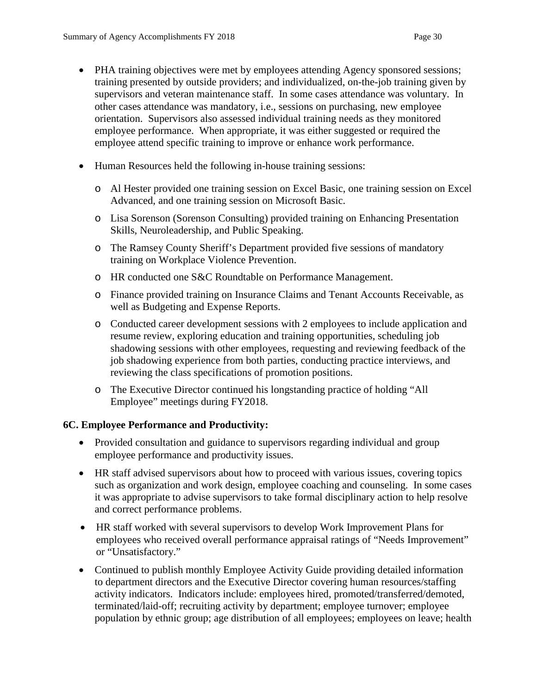- PHA training objectives were met by employees attending Agency sponsored sessions; training presented by outside providers; and individualized, on-the-job training given by supervisors and veteran maintenance staff. In some cases attendance was voluntary. In other cases attendance was mandatory, i.e., sessions on purchasing, new employee orientation. Supervisors also assessed individual training needs as they monitored employee performance. When appropriate, it was either suggested or required the employee attend specific training to improve or enhance work performance.
- Human Resources held the following in-house training sessions:
	- o Al Hester provided one training session on Excel Basic, one training session on Excel Advanced, and one training session on Microsoft Basic.
	- o Lisa Sorenson (Sorenson Consulting) provided training on Enhancing Presentation Skills, Neuroleadership, and Public Speaking.
	- o The Ramsey County Sheriff's Department provided five sessions of mandatory training on Workplace Violence Prevention.
	- o HR conducted one S&C Roundtable on Performance Management.
	- o Finance provided training on Insurance Claims and Tenant Accounts Receivable, as well as Budgeting and Expense Reports.
	- o Conducted career development sessions with 2 employees to include application and resume review, exploring education and training opportunities, scheduling job shadowing sessions with other employees, requesting and reviewing feedback of the job shadowing experience from both parties, conducting practice interviews, and reviewing the class specifications of promotion positions.
	- o The Executive Director continued his longstanding practice of holding "All Employee" meetings during FY2018.

#### **6C. Employee Performance and Productivity:**

- Provided consultation and guidance to supervisors regarding individual and group employee performance and productivity issues.
- HR staff advised supervisors about how to proceed with various issues, covering topics such as organization and work design, employee coaching and counseling. In some cases it was appropriate to advise supervisors to take formal disciplinary action to help resolve and correct performance problems.
- HR staff worked with several supervisors to develop Work Improvement Plans for employees who received overall performance appraisal ratings of "Needs Improvement" or "Unsatisfactory."
- Continued to publish monthly Employee Activity Guide providing detailed information to department directors and the Executive Director covering human resources/staffing activity indicators. Indicators include: employees hired, promoted/transferred/demoted, terminated/laid-off; recruiting activity by department; employee turnover; employee population by ethnic group; age distribution of all employees; employees on leave; health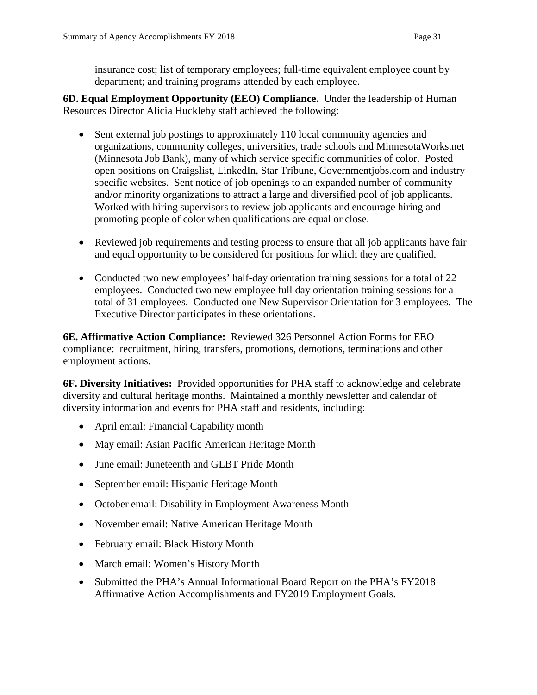insurance cost; list of temporary employees; full-time equivalent employee count by department; and training programs attended by each employee.

**6D. Equal Employment Opportunity (EEO) Compliance.** Under the leadership of Human Resources Director Alicia Huckleby staff achieved the following:

- Sent external job postings to approximately 110 local community agencies and organizations, community colleges, universities, trade schools and MinnesotaWorks.net (Minnesota Job Bank), many of which service specific communities of color. Posted open positions on Craigslist, LinkedIn, Star Tribune, Governmentjobs.com and industry specific websites. Sent notice of job openings to an expanded number of community and/or minority organizations to attract a large and diversified pool of job applicants. Worked with hiring supervisors to review job applicants and encourage hiring and promoting people of color when qualifications are equal or close.
- Reviewed job requirements and testing process to ensure that all job applicants have fair and equal opportunity to be considered for positions for which they are qualified.
- Conducted two new employees' half-day orientation training sessions for a total of 22 employees. Conducted two new employee full day orientation training sessions for a total of 31 employees. Conducted one New Supervisor Orientation for 3 employees. The Executive Director participates in these orientations.

**6E. Affirmative Action Compliance:** Reviewed 326 Personnel Action Forms for EEO compliance: recruitment, hiring, transfers, promotions, demotions, terminations and other employment actions.

**6F. Diversity Initiatives:** Provided opportunities for PHA staff to acknowledge and celebrate diversity and cultural heritage months. Maintained a monthly newsletter and calendar of diversity information and events for PHA staff and residents, including:

- April email: Financial Capability month
- May email: Asian Pacific American Heritage Month
- June email: Juneteenth and GLBT Pride Month
- September email: Hispanic Heritage Month
- October email: Disability in Employment Awareness Month
- November email: Native American Heritage Month
- February email: Black History Month
- March email: Women's History Month
- Submitted the PHA's Annual Informational Board Report on the PHA's FY2018 Affirmative Action Accomplishments and FY2019 Employment Goals.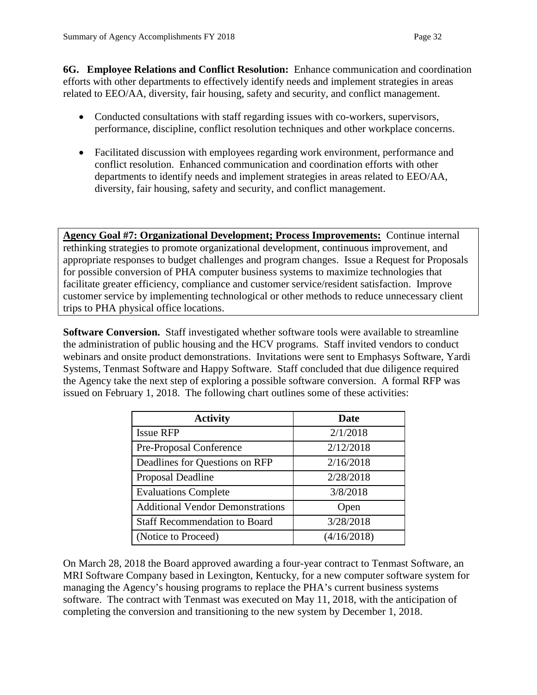**6G. Employee Relations and Conflict Resolution:** Enhance communication and coordination efforts with other departments to effectively identify needs and implement strategies in areas related to EEO/AA, diversity, fair housing, safety and security, and conflict management.

- Conducted consultations with staff regarding issues with co-workers, supervisors, performance, discipline, conflict resolution techniques and other workplace concerns.
- Facilitated discussion with employees regarding work environment, performance and conflict resolution. Enhanced communication and coordination efforts with other departments to identify needs and implement strategies in areas related to EEO/AA, diversity, fair housing, safety and security, and conflict management.

**Agency Goal #7: Organizational Development; Process Improvements:** Continue internal rethinking strategies to promote organizational development, continuous improvement, and appropriate responses to budget challenges and program changes. Issue a Request for Proposals for possible conversion of PHA computer business systems to maximize technologies that facilitate greater efficiency, compliance and customer service/resident satisfaction. Improve customer service by implementing technological or other methods to reduce unnecessary client trips to PHA physical office locations.

**Software Conversion.** Staff investigated whether software tools were available to streamline the administration of public housing and the HCV programs. Staff invited vendors to conduct webinars and onsite product demonstrations. Invitations were sent to Emphasys Software, Yardi Systems, Tenmast Software and Happy Software. Staff concluded that due diligence required the Agency take the next step of exploring a possible software conversion. A formal RFP was issued on February 1, 2018. The following chart outlines some of these activities:

| <b>Activity</b>                         | Date        |  |
|-----------------------------------------|-------------|--|
| <b>Issue RFP</b>                        | 2/1/2018    |  |
| Pre-Proposal Conference                 | 2/12/2018   |  |
| Deadlines for Questions on RFP          | 2/16/2018   |  |
| Proposal Deadline                       | 2/28/2018   |  |
| <b>Evaluations Complete</b>             | 3/8/2018    |  |
| <b>Additional Vendor Demonstrations</b> | Open        |  |
| <b>Staff Recommendation to Board</b>    | 3/28/2018   |  |
| (Notice to Proceed)                     | (4/16/2018) |  |

On March 28, 2018 the Board approved awarding a four-year contract to Tenmast Software, an MRI Software Company based in Lexington, Kentucky, for a new computer software system for managing the Agency's housing programs to replace the PHA's current business systems software. The contract with Tenmast was executed on May 11, 2018, with the anticipation of completing the conversion and transitioning to the new system by December 1, 2018.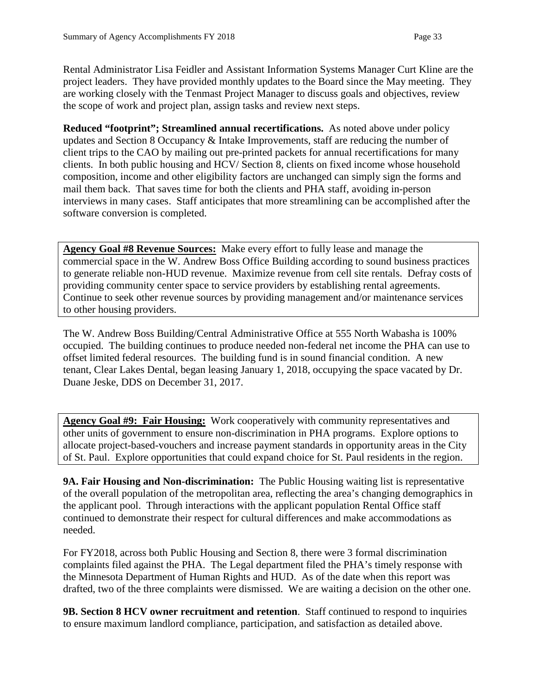Rental Administrator Lisa Feidler and Assistant Information Systems Manager Curt Kline are the project leaders. They have provided monthly updates to the Board since the May meeting. They are working closely with the Tenmast Project Manager to discuss goals and objectives, review the scope of work and project plan, assign tasks and review next steps.

**Reduced "footprint"; Streamlined annual recertifications.** As noted above under policy updates and Section 8 Occupancy & Intake Improvements, staff are reducing the number of client trips to the CAO by mailing out pre-printed packets for annual recertifications for many clients. In both public housing and HCV/ Section 8, clients on fixed income whose household composition, income and other eligibility factors are unchanged can simply sign the forms and mail them back. That saves time for both the clients and PHA staff, avoiding in-person interviews in many cases. Staff anticipates that more streamlining can be accomplished after the software conversion is completed.

**Agency Goal #8 Revenue Sources:** Make every effort to fully lease and manage the commercial space in the W. Andrew Boss Office Building according to sound business practices to generate reliable non-HUD revenue. Maximize revenue from cell site rentals. Defray costs of providing community center space to service providers by establishing rental agreements. Continue to seek other revenue sources by providing management and/or maintenance services to other housing providers.

The W. Andrew Boss Building/Central Administrative Office at 555 North Wabasha is 100% occupied. The building continues to produce needed non-federal net income the PHA can use to offset limited federal resources. The building fund is in sound financial condition. A new tenant, Clear Lakes Dental, began leasing January 1, 2018, occupying the space vacated by Dr. Duane Jeske, DDS on December 31, 2017.

**Agency Goal #9: Fair Housing:** Work cooperatively with community representatives and other units of government to ensure non-discrimination in PHA programs. Explore options to allocate project-based-vouchers and increase payment standards in opportunity areas in the City of St. Paul. Explore opportunities that could expand choice for St. Paul residents in the region.

**9A. Fair Housing and Non-discrimination:** The Public Housing waiting list is representative of the overall population of the metropolitan area, reflecting the area's changing demographics in the applicant pool. Through interactions with the applicant population Rental Office staff continued to demonstrate their respect for cultural differences and make accommodations as needed.

For FY2018, across both Public Housing and Section 8, there were 3 formal discrimination complaints filed against the PHA. The Legal department filed the PHA's timely response with the Minnesota Department of Human Rights and HUD. As of the date when this report was drafted, two of the three complaints were dismissed. We are waiting a decision on the other one.

**9B. Section 8 HCV owner recruitment and retention**. Staff continued to respond to inquiries to ensure maximum landlord compliance, participation, and satisfaction as detailed above.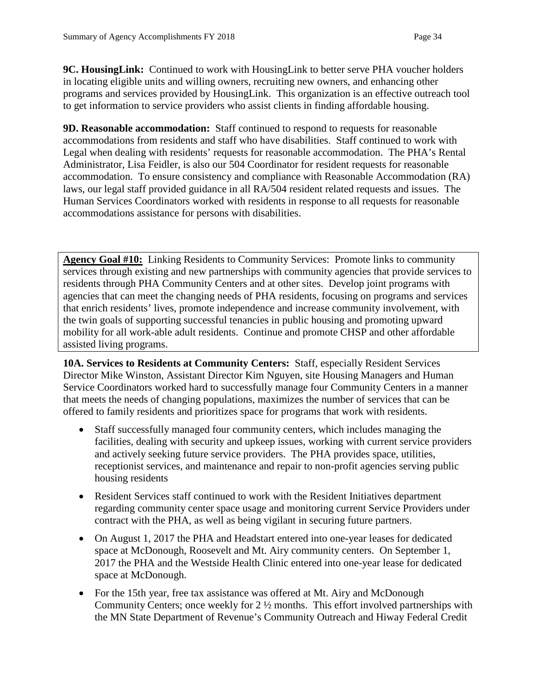**9C. HousingLink:** Continued to work with HousingLink to better serve PHA voucher holders in locating eligible units and willing owners, recruiting new owners, and enhancing other programs and services provided by HousingLink. This organization is an effective outreach tool to get information to service providers who assist clients in finding affordable housing.

**9D. Reasonable accommodation:** Staff continued to respond to requests for reasonable accommodations from residents and staff who have disabilities. Staff continued to work with Legal when dealing with residents' requests for reasonable accommodation. The PHA's Rental Administrator, Lisa Feidler, is also our 504 Coordinator for resident requests for reasonable accommodation. To ensure consistency and compliance with Reasonable Accommodation (RA) laws, our legal staff provided guidance in all RA/504 resident related requests and issues. The Human Services Coordinators worked with residents in response to all requests for reasonable accommodations assistance for persons with disabilities.

**Agency Goal #10:** Linking Residents to Community Services: Promote links to community services through existing and new partnerships with community agencies that provide services to residents through PHA Community Centers and at other sites. Develop joint programs with agencies that can meet the changing needs of PHA residents, focusing on programs and services that enrich residents' lives, promote independence and increase community involvement, with the twin goals of supporting successful tenancies in public housing and promoting upward mobility for all work-able adult residents. Continue and promote CHSP and other affordable assisted living programs.

**10A. Services to Residents at Community Centers:** Staff, especially Resident Services Director Mike Winston, Assistant Director Kim Nguyen, site Housing Managers and Human Service Coordinators worked hard to successfully manage four Community Centers in a manner that meets the needs of changing populations, maximizes the number of services that can be offered to family residents and prioritizes space for programs that work with residents.

- Staff successfully managed four community centers, which includes managing the facilities, dealing with security and upkeep issues, working with current service providers and actively seeking future service providers. The PHA provides space, utilities, receptionist services, and maintenance and repair to non-profit agencies serving public housing residents
- Resident Services staff continued to work with the Resident Initiatives department regarding community center space usage and monitoring current Service Providers under contract with the PHA, as well as being vigilant in securing future partners.
- On August 1, 2017 the PHA and Headstart entered into one-year leases for dedicated space at McDonough, Roosevelt and Mt. Airy community centers. On September 1, 2017 the PHA and the Westside Health Clinic entered into one-year lease for dedicated space at McDonough.
- For the 15th year, free tax assistance was offered at Mt. Airy and McDonough Community Centers; once weekly for 2 ½ months. This effort involved partnerships with the MN State Department of Revenue's Community Outreach and Hiway Federal Credit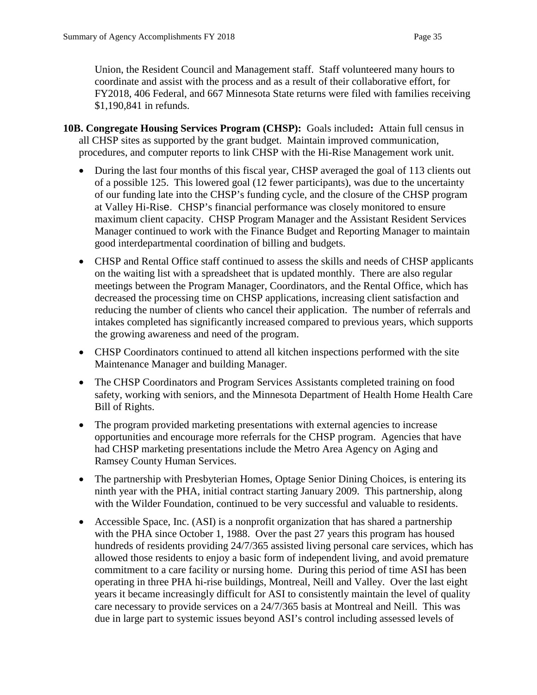Union, the Resident Council and Management staff. Staff volunteered many hours to coordinate and assist with the process and as a result of their collaborative effort, for FY2018, 406 Federal, and 667 Minnesota State returns were filed with families receiving \$1,190,841 in refunds.

- **10B. Congregate Housing Services Program (CHSP):** Goals included**:** Attain full census in all CHSP sites as supported by the grant budget. Maintain improved communication, procedures, and computer reports to link CHSP with the Hi-Rise Management work unit.
	- During the last four months of this fiscal year, CHSP averaged the goal of 113 clients out of a possible 125. This lowered goal (12 fewer participants), was due to the uncertainty of our funding late into the CHSP's funding cycle, and the closure of the CHSP program at Valley Hi-Rise. CHSP's financial performance was closely monitored to ensure maximum client capacity. CHSP Program Manager and the Assistant Resident Services Manager continued to work with the Finance Budget and Reporting Manager to maintain good interdepartmental coordination of billing and budgets.
	- CHSP and Rental Office staff continued to assess the skills and needs of CHSP applicants on the waiting list with a spreadsheet that is updated monthly. There are also regular meetings between the Program Manager, Coordinators, and the Rental Office, which has decreased the processing time on CHSP applications, increasing client satisfaction and reducing the number of clients who cancel their application. The number of referrals and intakes completed has significantly increased compared to previous years, which supports the growing awareness and need of the program.
	- CHSP Coordinators continued to attend all kitchen inspections performed with the site Maintenance Manager and building Manager.
	- The CHSP Coordinators and Program Services Assistants completed training on food safety, working with seniors, and the Minnesota Department of Health Home Health Care Bill of Rights.
	- The program provided marketing presentations with external agencies to increase opportunities and encourage more referrals for the CHSP program. Agencies that have had CHSP marketing presentations include the Metro Area Agency on Aging and Ramsey County Human Services.
	- The partnership with Presbyterian Homes, Optage Senior Dining Choices, is entering its ninth year with the PHA, initial contract starting January 2009. This partnership, along with the Wilder Foundation, continued to be very successful and valuable to residents.
	- Accessible Space, Inc. (ASI) is a nonprofit organization that has shared a partnership with the PHA since October 1, 1988. Over the past 27 years this program has housed hundreds of residents providing 24/7/365 assisted living personal care services, which has allowed those residents to enjoy a basic form of independent living, and avoid premature commitment to a care facility or nursing home. During this period of time ASI has been operating in three PHA hi-rise buildings, Montreal, Neill and Valley. Over the last eight years it became increasingly difficult for ASI to consistently maintain the level of quality care necessary to provide services on a 24/7/365 basis at Montreal and Neill. This was due in large part to systemic issues beyond ASI's control including assessed levels of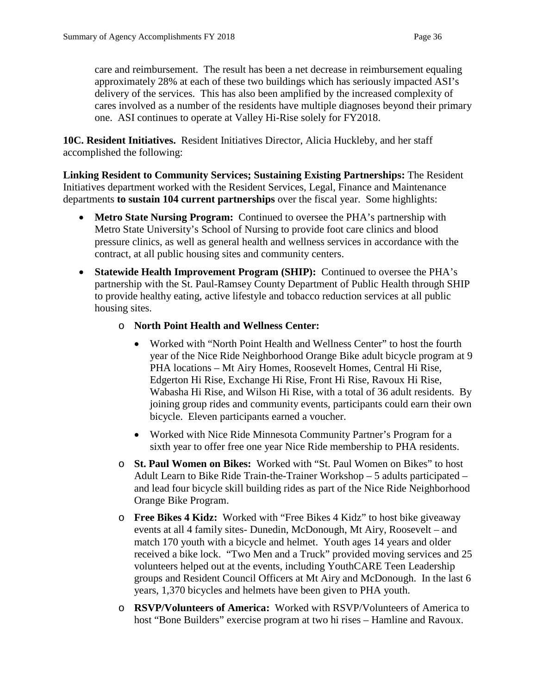care and reimbursement. The result has been a net decrease in reimbursement equaling approximately 28% at each of these two buildings which has seriously impacted ASI's delivery of the services. This has also been amplified by the increased complexity of cares involved as a number of the residents have multiple diagnoses beyond their primary one. ASI continues to operate at Valley Hi-Rise solely for FY2018.

**10C. Resident Initiatives.** Resident Initiatives Director, Alicia Huckleby, and her staff accomplished the following:

**Linking Resident to Community Services; Sustaining Existing Partnerships:** The Resident Initiatives department worked with the Resident Services, Legal, Finance and Maintenance departments **to sustain 104 current partnerships** over the fiscal year. Some highlights:

- **Metro State Nursing Program:** Continued to oversee the PHA's partnership with Metro State University's School of Nursing to provide foot care clinics and blood pressure clinics, as well as general health and wellness services in accordance with the contract, at all public housing sites and community centers.
- **Statewide Health Improvement Program (SHIP):** Continued to oversee the PHA's partnership with the St. Paul-Ramsey County Department of Public Health through SHIP to provide healthy eating, active lifestyle and tobacco reduction services at all public housing sites.
	- o **North Point Health and Wellness Center:**
		- Worked with "North Point Health and Wellness Center" to host the fourth year of the Nice Ride Neighborhood Orange Bike adult bicycle program at 9 PHA locations – Mt Airy Homes, Roosevelt Homes, Central Hi Rise, Edgerton Hi Rise, Exchange Hi Rise, Front Hi Rise, Ravoux Hi Rise, Wabasha Hi Rise, and Wilson Hi Rise, with a total of 36 adult residents. By joining group rides and community events, participants could earn their own bicycle. Eleven participants earned a voucher.
		- Worked with Nice Ride Minnesota Community Partner's Program for a sixth year to offer free one year Nice Ride membership to PHA residents.
	- o **St. Paul Women on Bikes:** Worked with "St. Paul Women on Bikes" to host Adult Learn to Bike Ride Train-the-Trainer Workshop – 5 adults participated – and lead four bicycle skill building rides as part of the Nice Ride Neighborhood Orange Bike Program.
	- o **Free Bikes 4 Kidz:** Worked with "Free Bikes 4 Kidz" to host bike giveaway events at all 4 family sites- Dunedin, McDonough, Mt Airy, Roosevelt – and match 170 youth with a bicycle and helmet. Youth ages 14 years and older received a bike lock. "Two Men and a Truck" provided moving services and 25 volunteers helped out at the events, including YouthCARE Teen Leadership groups and Resident Council Officers at Mt Airy and McDonough. In the last 6 years, 1,370 bicycles and helmets have been given to PHA youth.
	- o **RSVP/Volunteers of America:** Worked with RSVP/Volunteers of America to host "Bone Builders" exercise program at two hi rises – Hamline and Ravoux.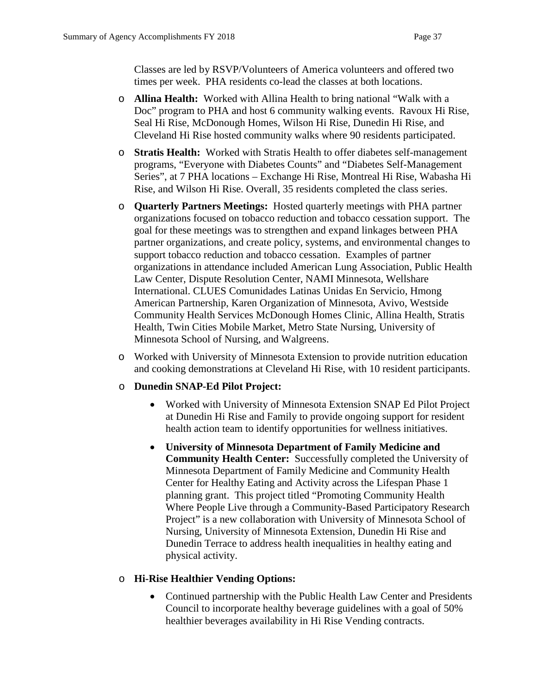Classes are led by RSVP/Volunteers of America volunteers and offered two times per week. PHA residents co-lead the classes at both locations.

- o **Allina Health:** Worked with Allina Health to bring national "Walk with a Doc" program to PHA and host 6 community walking events. Ravoux Hi Rise, Seal Hi Rise, McDonough Homes, Wilson Hi Rise, Dunedin Hi Rise, and Cleveland Hi Rise hosted community walks where 90 residents participated.
- o **Stratis Health:** Worked with Stratis Health to offer diabetes self-management programs, "Everyone with Diabetes Counts" and "Diabetes Self-Management Series", at 7 PHA locations – Exchange Hi Rise, Montreal Hi Rise, Wabasha Hi Rise, and Wilson Hi Rise. Overall, 35 residents completed the class series.
- o **Quarterly Partners Meetings:** Hosted quarterly meetings with PHA partner organizations focused on tobacco reduction and tobacco cessation support. The goal for these meetings was to strengthen and expand linkages between PHA partner organizations, and create policy, systems, and environmental changes to support tobacco reduction and tobacco cessation. Examples of partner organizations in attendance included American Lung Association, Public Health Law Center, Dispute Resolution Center, NAMI Minnesota, Wellshare International. CLUES Comunidades Latinas Unidas En Servicio, Hmong American Partnership, Karen Organization of Minnesota, Avivo, Westside Community Health Services McDonough Homes Clinic, Allina Health, Stratis Health, Twin Cities Mobile Market, Metro State Nursing, University of Minnesota School of Nursing, and Walgreens.
- o Worked with University of Minnesota Extension to provide nutrition education and cooking demonstrations at Cleveland Hi Rise, with 10 resident participants.

#### o **Dunedin SNAP-Ed Pilot Project:**

- Worked with University of Minnesota Extension SNAP Ed Pilot Project at Dunedin Hi Rise and Family to provide ongoing support for resident health action team to identify opportunities for wellness initiatives.
- **University of Minnesota Department of Family Medicine and Community Health Center:** Successfully completed the University of Minnesota Department of Family Medicine and Community Health Center for Healthy Eating and Activity across the Lifespan Phase 1 planning grant. This project titled "Promoting Community Health Where People Live through a Community-Based Participatory Research Project" is a new collaboration with University of Minnesota School of Nursing, University of Minnesota Extension, Dunedin Hi Rise and Dunedin Terrace to address health inequalities in healthy eating and physical activity.

#### o **Hi-Rise Healthier Vending Options:**

• Continued partnership with the Public Health Law Center and Presidents Council to incorporate healthy beverage guidelines with a goal of 50% healthier beverages availability in Hi Rise Vending contracts.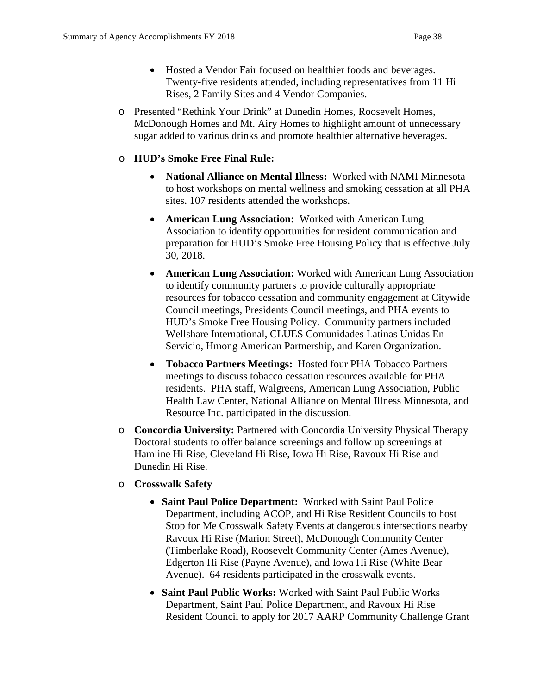- Hosted a Vendor Fair focused on healthier foods and beverages. Twenty-five residents attended, including representatives from 11 Hi Rises, 2 Family Sites and 4 Vendor Companies.
- o Presented "Rethink Your Drink" at Dunedin Homes, Roosevelt Homes, McDonough Homes and Mt. Airy Homes to highlight amount of unnecessary sugar added to various drinks and promote healthier alternative beverages.

# o **HUD's Smoke Free Final Rule:**

- **National Alliance on Mental Illness:** Worked with NAMI Minnesota to host workshops on mental wellness and smoking cessation at all PHA sites. 107 residents attended the workshops.
- **American Lung Association:** Worked with American Lung Association to identify opportunities for resident communication and preparation for HUD's Smoke Free Housing Policy that is effective July 30, 2018.
- **American Lung Association:** Worked with American Lung Association to identify community partners to provide culturally appropriate resources for tobacco cessation and community engagement at Citywide Council meetings, Presidents Council meetings, and PHA events to HUD's Smoke Free Housing Policy. Community partners included Wellshare International, CLUES Comunidades Latinas Unidas En Servicio, Hmong American Partnership, and Karen Organization.
- **Tobacco Partners Meetings:** Hosted four PHA Tobacco Partners meetings to discuss tobacco cessation resources available for PHA residents. PHA staff, Walgreens, American Lung Association, Public Health Law Center, National Alliance on Mental Illness Minnesota, and Resource Inc. participated in the discussion.
- o **Concordia University:** Partnered with Concordia University Physical Therapy Doctoral students to offer balance screenings and follow up screenings at Hamline Hi Rise, Cleveland Hi Rise, Iowa Hi Rise, Ravoux Hi Rise and Dunedin Hi Rise.
- o **Crosswalk Safety** 
	- **Saint Paul Police Department:** Worked with Saint Paul Police Department, including ACOP, and Hi Rise Resident Councils to host Stop for Me Crosswalk Safety Events at dangerous intersections nearby Ravoux Hi Rise (Marion Street), McDonough Community Center (Timberlake Road), Roosevelt Community Center (Ames Avenue), Edgerton Hi Rise (Payne Avenue), and Iowa Hi Rise (White Bear Avenue). 64 residents participated in the crosswalk events.
	- **Saint Paul Public Works:** Worked with Saint Paul Public Works Department, Saint Paul Police Department, and Ravoux Hi Rise Resident Council to apply for 2017 AARP Community Challenge Grant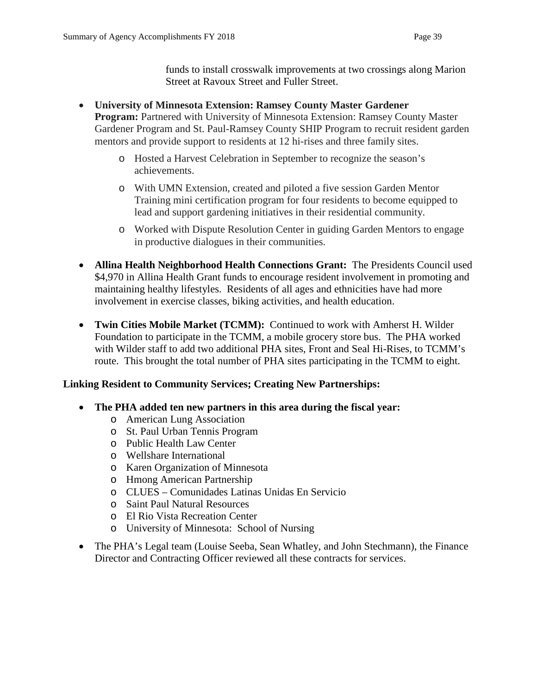funds to install crosswalk improvements at two crossings along Marion Street at Ravoux Street and Fuller Street.

- **University of Minnesota Extension: Ramsey County Master Gardener Program:** Partnered with University of Minnesota Extension: Ramsey County Master Gardener Program and St. Paul-Ramsey County SHIP Program to recruit resident garden mentors and provide support to residents at 12 hi-rises and three family sites.
	- o Hosted a Harvest Celebration in September to recognize the season's achievements.
	- o With UMN Extension, created and piloted a five session Garden Mentor Training mini certification program for four residents to become equipped to lead and support gardening initiatives in their residential community.
	- o Worked with Dispute Resolution Center in guiding Garden Mentors to engage in productive dialogues in their communities.
- **Allina Health Neighborhood Health Connections Grant:** The Presidents Council used \$4,970 in Allina Health Grant funds to encourage resident involvement in promoting and maintaining healthy lifestyles. Residents of all ages and ethnicities have had more involvement in exercise classes, biking activities, and health education.
- **Twin Cities Mobile Market (TCMM):** Continued to work with Amherst H. Wilder Foundation to participate in the TCMM, a mobile grocery store bus. The PHA worked with Wilder staff to add two additional PHA sites, Front and Seal Hi-Rises, to TCMM's route. This brought the total number of PHA sites participating in the TCMM to eight.

# **Linking Resident to Community Services; Creating New Partnerships:**

- **The PHA added ten new partners in this area during the fiscal year:**
	- o American Lung Association
	- o St. Paul Urban Tennis Program
	- o Public Health Law Center
	- o Wellshare International
	- o Karen Organization of Minnesota
	- o Hmong American Partnership
	- o CLUES Comunidades Latinas Unidas En Servicio
	- o Saint Paul Natural Resources
	- o El Rio Vista Recreation Center
	- o University of Minnesota: School of Nursing
- The PHA's Legal team (Louise Seeba, Sean Whatley, and John Stechmann), the Finance Director and Contracting Officer reviewed all these contracts for services.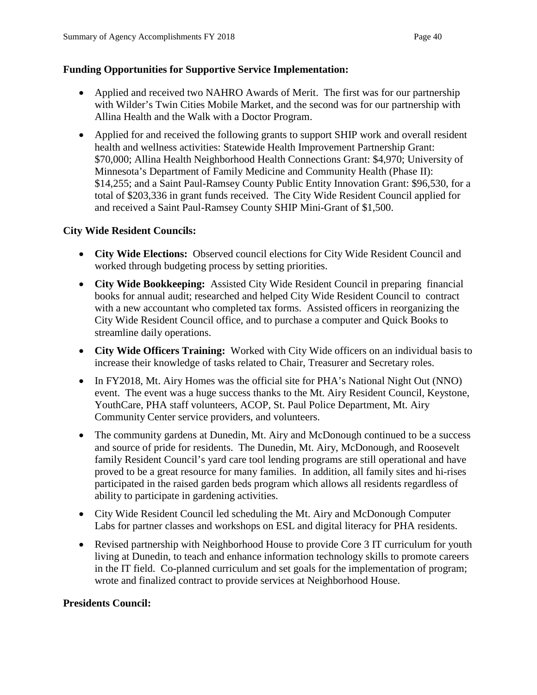# **Funding Opportunities for Supportive Service Implementation:**

- Applied and received two NAHRO Awards of Merit. The first was for our partnership with Wilder's Twin Cities Mobile Market, and the second was for our partnership with Allina Health and the Walk with a Doctor Program.
- Applied for and received the following grants to support SHIP work and overall resident health and wellness activities: Statewide Health Improvement Partnership Grant: \$70,000; Allina Health Neighborhood Health Connections Grant: \$4,970; University of Minnesota's Department of Family Medicine and Community Health (Phase II): \$14,255; and a Saint Paul-Ramsey County Public Entity Innovation Grant: \$96,530, for a total of \$203,336 in grant funds received. The City Wide Resident Council applied for and received a Saint Paul-Ramsey County SHIP Mini-Grant of \$1,500.

# **City Wide Resident Councils:**

- **City Wide Elections:** Observed council elections for City Wide Resident Council and worked through budgeting process by setting priorities.
- **City Wide Bookkeeping:** Assisted City Wide Resident Council in preparing financial books for annual audit; researched and helped City Wide Resident Council to contract with a new accountant who completed tax forms. Assisted officers in reorganizing the City Wide Resident Council office, and to purchase a computer and Quick Books to streamline daily operations.
- **City Wide Officers Training:** Worked with City Wide officers on an individual basis to increase their knowledge of tasks related to Chair, Treasurer and Secretary roles.
- In FY2018, Mt. Airy Homes was the official site for PHA's National Night Out (NNO) event. The event was a huge success thanks to the Mt. Airy Resident Council, Keystone, YouthCare, PHA staff volunteers, ACOP, St. Paul Police Department, Mt. Airy Community Center service providers, and volunteers.
- The community gardens at Dunedin, Mt. Airy and McDonough continued to be a success and source of pride for residents. The Dunedin, Mt. Airy, McDonough, and Roosevelt family Resident Council's yard care tool lending programs are still operational and have proved to be a great resource for many families. In addition, all family sites and hi-rises participated in the raised garden beds program which allows all residents regardless of ability to participate in gardening activities.
- City Wide Resident Council led scheduling the Mt. Airy and McDonough Computer Labs for partner classes and workshops on ESL and digital literacy for PHA residents.
- Revised partnership with Neighborhood House to provide Core 3 IT curriculum for youth living at Dunedin, to teach and enhance information technology skills to promote careers in the IT field. Co-planned curriculum and set goals for the implementation of program; wrote and finalized contract to provide services at Neighborhood House.

# **Presidents Council:**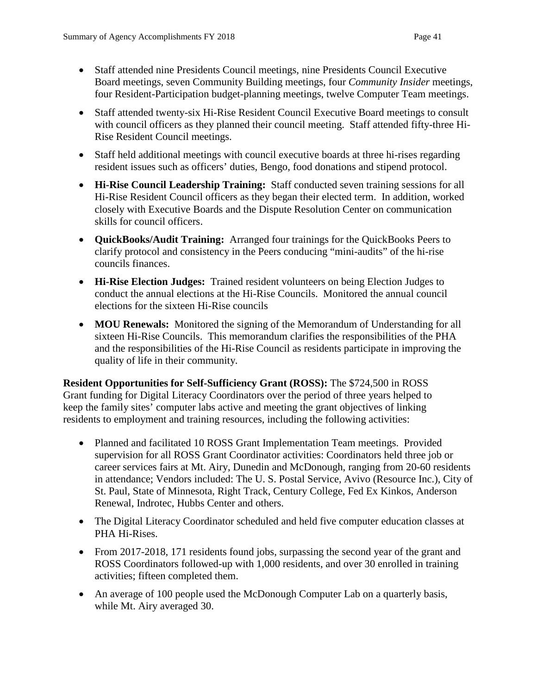- Staff attended nine Presidents Council meetings, nine Presidents Council Executive Board meetings, seven Community Building meetings, four *Community Insider* meetings, four Resident-Participation budget-planning meetings, twelve Computer Team meetings.
- Staff attended twenty-six Hi-Rise Resident Council Executive Board meetings to consult with council officers as they planned their council meeting. Staff attended fifty-three Hi-Rise Resident Council meetings.
- Staff held additional meetings with council executive boards at three hi-rises regarding resident issues such as officers' duties, Bengo, food donations and stipend protocol.
- **Hi-Rise Council Leadership Training:** Staff conducted seven training sessions for all Hi-Rise Resident Council officers as they began their elected term. In addition, worked closely with Executive Boards and the Dispute Resolution Center on communication skills for council officers.
- **QuickBooks/Audit Training:** Arranged four trainings for the QuickBooks Peers to clarify protocol and consistency in the Peers conducing "mini-audits" of the hi-rise councils finances.
- **Hi-Rise Election Judges:** Trained resident volunteers on being Election Judges to conduct the annual elections at the Hi-Rise Councils. Monitored the annual council elections for the sixteen Hi-Rise councils
- **MOU Renewals:** Monitored the signing of the Memorandum of Understanding for all sixteen Hi-Rise Councils. This memorandum clarifies the responsibilities of the PHA and the responsibilities of the Hi-Rise Council as residents participate in improving the quality of life in their community.

**Resident Opportunities for Self-Sufficiency Grant (ROSS):** The \$724,500 in ROSS Grant funding for Digital Literacy Coordinators over the period of three years helped to keep the family sites' computer labs active and meeting the grant objectives of linking residents to employment and training resources, including the following activities:

- Planned and facilitated 10 ROSS Grant Implementation Team meetings. Provided supervision for all ROSS Grant Coordinator activities: Coordinators held three job or career services fairs at Mt. Airy, Dunedin and McDonough, ranging from 20-60 residents in attendance; Vendors included: The U. S. Postal Service, Avivo (Resource Inc.), City of St. Paul, State of Minnesota, Right Track, Century College, Fed Ex Kinkos, Anderson Renewal, Indrotec, Hubbs Center and others.
- The Digital Literacy Coordinator scheduled and held five computer education classes at PHA Hi-Rises.
- From 2017-2018, 171 residents found jobs, surpassing the second year of the grant and ROSS Coordinators followed-up with 1,000 residents, and over 30 enrolled in training activities; fifteen completed them.
- An average of 100 people used the McDonough Computer Lab on a quarterly basis, while Mt. Airy averaged 30.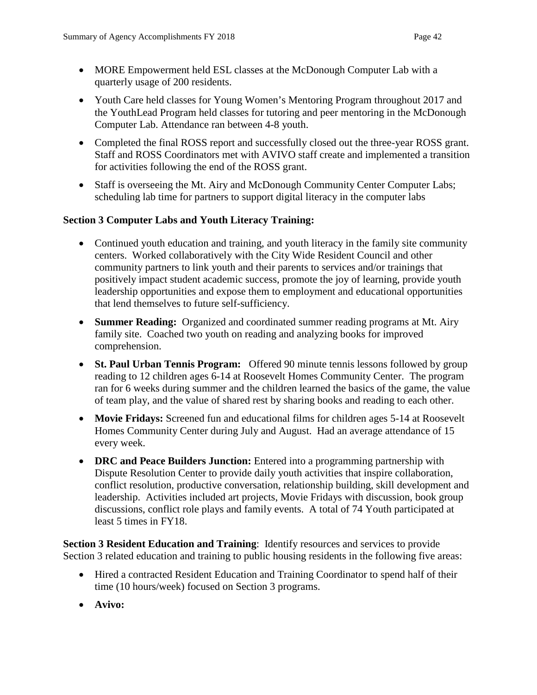- MORE Empowerment held ESL classes at the McDonough Computer Lab with a quarterly usage of 200 residents.
- Youth Care held classes for Young Women's Mentoring Program throughout 2017 and the YouthLead Program held classes for tutoring and peer mentoring in the McDonough Computer Lab. Attendance ran between 4-8 youth.
- Completed the final ROSS report and successfully closed out the three-year ROSS grant. Staff and ROSS Coordinators met with AVIVO staff create and implemented a transition for activities following the end of the ROSS grant.
- Staff is overseeing the Mt. Airy and McDonough Community Center Computer Labs; scheduling lab time for partners to support digital literacy in the computer labs

# **Section 3 Computer Labs and Youth Literacy Training:**

- Continued youth education and training, and youth literacy in the family site community centers. Worked collaboratively with the City Wide Resident Council and other community partners to link youth and their parents to services and/or trainings that positively impact student academic success, promote the joy of learning, provide youth leadership opportunities and expose them to employment and educational opportunities that lend themselves to future self-sufficiency.
- **Summer Reading:** Organized and coordinated summer reading programs at Mt. Airy family site. Coached two youth on reading and analyzing books for improved comprehension.
- **St. Paul Urban Tennis Program:** Offered 90 minute tennis lessons followed by group reading to 12 children ages 6-14 at Roosevelt Homes Community Center. The program ran for 6 weeks during summer and the children learned the basics of the game, the value of team play, and the value of shared rest by sharing books and reading to each other.
- **Movie Fridays:** Screened fun and educational films for children ages 5-14 at Roosevelt Homes Community Center during July and August. Had an average attendance of 15 every week.
- **DRC and Peace Builders Junction:** Entered into a programming partnership with Dispute Resolution Center to provide daily youth activities that inspire collaboration, conflict resolution, productive conversation, relationship building, skill development and leadership. Activities included art projects, Movie Fridays with discussion, book group discussions, conflict role plays and family events. A total of 74 Youth participated at least 5 times in FY18.

**Section 3 Resident Education and Training:** Identify resources and services to provide Section 3 related education and training to public housing residents in the following five areas:

- Hired a contracted Resident Education and Training Coordinator to spend half of their time (10 hours/week) focused on Section 3 programs.
- **Avivo:**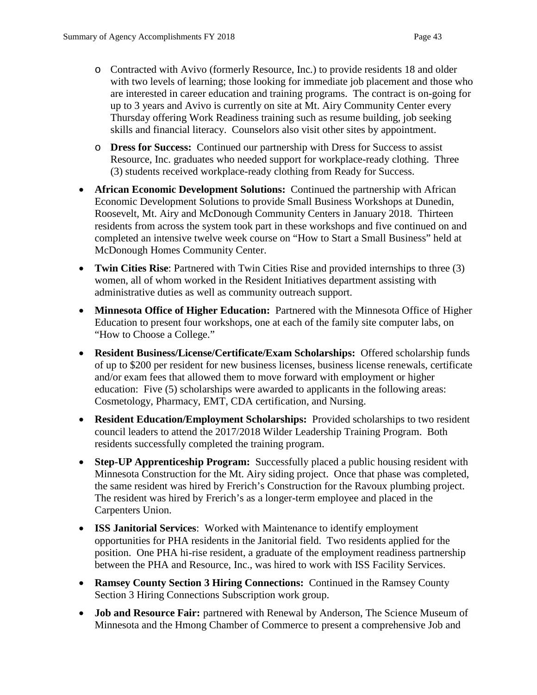- o Contracted with Avivo (formerly Resource, Inc.) to provide residents 18 and older with two levels of learning; those looking for immediate job placement and those who are interested in career education and training programs. The contract is on-going for up to 3 years and Avivo is currently on site at Mt. Airy Community Center every Thursday offering Work Readiness training such as resume building, job seeking skills and financial literacy. Counselors also visit other sites by appointment.
- o **Dress for Success:** Continued our partnership with Dress for Success to assist Resource, Inc. graduates who needed support for workplace-ready clothing. Three (3) students received workplace-ready clothing from Ready for Success.
- **African Economic Development Solutions:** Continued the partnership with African Economic Development Solutions to provide Small Business Workshops at Dunedin, Roosevelt, Mt. Airy and McDonough Community Centers in January 2018. Thirteen residents from across the system took part in these workshops and five continued on and completed an intensive twelve week course on "How to Start a Small Business" held at McDonough Homes Community Center.
- **Twin Cities Rise**: Partnered with Twin Cities Rise and provided internships to three (3) women, all of whom worked in the Resident Initiatives department assisting with administrative duties as well as community outreach support.
- **Minnesota Office of Higher Education:** Partnered with the Minnesota Office of Higher Education to present four workshops, one at each of the family site computer labs, on "How to Choose a College."
- **Resident Business/License/Certificate/Exam Scholarships:** Offered scholarship funds of up to \$200 per resident for new business licenses, business license renewals, certificate and/or exam fees that allowed them to move forward with employment or higher education: Five (5) scholarships were awarded to applicants in the following areas: Cosmetology, Pharmacy, EMT, CDA certification, and Nursing.
- **Resident Education/Employment Scholarships:** Provided scholarships to two resident council leaders to attend the 2017/2018 Wilder Leadership Training Program. Both residents successfully completed the training program.
- **Step-UP Apprenticeship Program:** Successfully placed a public housing resident with Minnesota Construction for the Mt. Airy siding project. Once that phase was completed, the same resident was hired by Frerich's Construction for the Ravoux plumbing project. The resident was hired by Frerich's as a longer-term employee and placed in the Carpenters Union.
- **ISS Janitorial Services**: Worked with Maintenance to identify employment opportunities for PHA residents in the Janitorial field. Two residents applied for the position. One PHA hi-rise resident, a graduate of the employment readiness partnership between the PHA and Resource, Inc., was hired to work with ISS Facility Services.
- **Ramsey County Section 3 Hiring Connections:** Continued in the Ramsey County Section 3 Hiring Connections Subscription work group.
- **Job and Resource Fair:** partnered with Renewal by Anderson, The Science Museum of Minnesota and the Hmong Chamber of Commerce to present a comprehensive Job and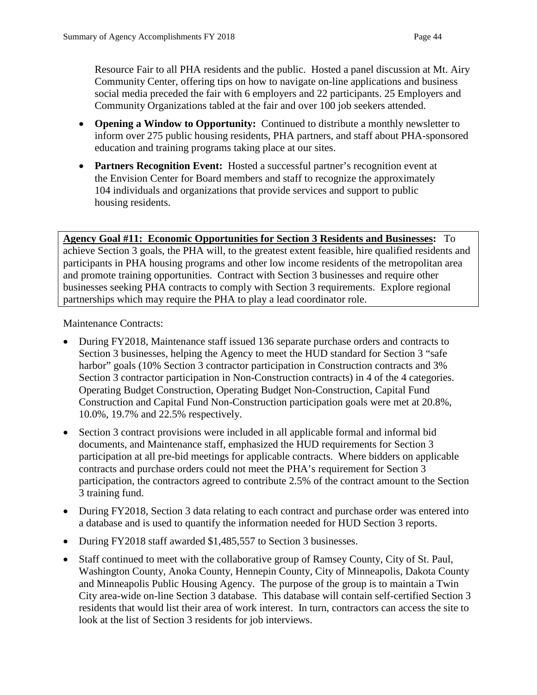Resource Fair to all PHA residents and the public. Hosted a panel discussion at Mt. Airy Community Center, offering tips on how to navigate on-line applications and business social media preceded the fair with 6 employers and 22 participants. 25 Employers and Community Organizations tabled at the fair and over 100 job seekers attended.

- **Opening a Window to Opportunity:** Continued to distribute a monthly newsletter to inform over 275 public housing residents, PHA partners, and staff about PHA-sponsored education and training programs taking place at our sites.
- **Partners Recognition Event:** Hosted a successful partner's recognition event at the Envision Center for Board members and staff to recognize the approximately 104 individuals and organizations that provide services and support to public housing residents.

**Agency Goal #11: Economic Opportunities for Section 3 Residents and Businesses:** To achieve Section 3 goals, the PHA will, to the greatest extent feasible, hire qualified residents and participants in PHA housing programs and other low income residents of the metropolitan area and promote training opportunities. Contract with Section 3 businesses and require other businesses seeking PHA contracts to comply with Section 3 requirements. Explore regional partnerships which may require the PHA to play a lead coordinator role.

Maintenance Contracts:

- During FY2018, Maintenance staff issued 136 separate purchase orders and contracts to Section 3 businesses, helping the Agency to meet the HUD standard for Section 3 "safe harbor" goals (10% Section 3 contractor participation in Construction contracts and 3% Section 3 contractor participation in Non-Construction contracts) in 4 of the 4 categories. Operating Budget Construction, Operating Budget Non-Construction, Capital Fund Construction and Capital Fund Non-Construction participation goals were met at 20.8%, 10.0%, 19.7% and 22.5% respectively.
- Section 3 contract provisions were included in all applicable formal and informal bid documents, and Maintenance staff, emphasized the HUD requirements for Section 3 participation at all pre-bid meetings for applicable contracts. Where bidders on applicable contracts and purchase orders could not meet the PHA's requirement for Section 3 participation, the contractors agreed to contribute 2.5% of the contract amount to the Section 3 training fund.
- During FY2018, Section 3 data relating to each contract and purchase order was entered into a database and is used to quantify the information needed for HUD Section 3 reports.
- During FY2018 staff awarded \$1,485,557 to Section 3 businesses.
- Staff continued to meet with the collaborative group of Ramsey County, City of St. Paul, Washington County, Anoka County, Hennepin County, City of Minneapolis, Dakota County and Minneapolis Public Housing Agency. The purpose of the group is to maintain a Twin City area-wide on-line Section 3 database. This database will contain self-certified Section 3 residents that would list their area of work interest. In turn, contractors can access the site to look at the list of Section 3 residents for job interviews.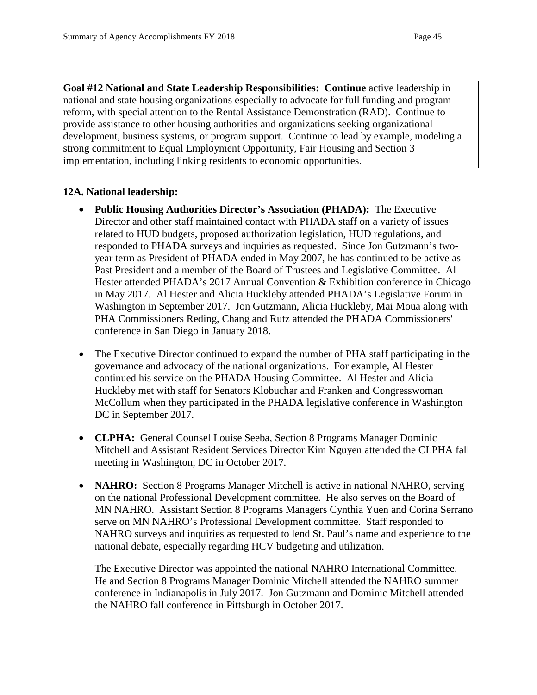**Goal #12 National and State Leadership Responsibilities: Continue** active leadership in national and state housing organizations especially to advocate for full funding and program reform, with special attention to the Rental Assistance Demonstration (RAD). Continue to provide assistance to other housing authorities and organizations seeking organizational development, business systems, or program support. Continue to lead by example, modeling a strong commitment to Equal Employment Opportunity, Fair Housing and Section 3 implementation, including linking residents to economic opportunities.

### **12A. National leadership:**

- **Public Housing Authorities Director's Association (PHADA):** The Executive Director and other staff maintained contact with PHADA staff on a variety of issues related to HUD budgets, proposed authorization legislation, HUD regulations, and responded to PHADA surveys and inquiries as requested. Since Jon Gutzmann's twoyear term as President of PHADA ended in May 2007, he has continued to be active as Past President and a member of the Board of Trustees and Legislative Committee. Al Hester attended PHADA's 2017 Annual Convention & Exhibition conference in Chicago in May 2017. Al Hester and Alicia Huckleby attended PHADA's Legislative Forum in Washington in September 2017. Jon Gutzmann, Alicia Huckleby, Mai Moua along with PHA Commissioners Reding, Chang and Rutz attended the PHADA Commissioners' conference in San Diego in January 2018.
- The Executive Director continued to expand the number of PHA staff participating in the governance and advocacy of the national organizations. For example, Al Hester continued his service on the PHADA Housing Committee. Al Hester and Alicia Huckleby met with staff for Senators Klobuchar and Franken and Congresswoman McCollum when they participated in the PHADA legislative conference in Washington DC in September 2017.
- **CLPHA:** General Counsel Louise Seeba, Section 8 Programs Manager Dominic Mitchell and Assistant Resident Services Director Kim Nguyen attended the CLPHA fall meeting in Washington, DC in October 2017.
- **NAHRO:** Section 8 Programs Manager Mitchell is active in national NAHRO, serving on the national Professional Development committee. He also serves on the Board of MN NAHRO. Assistant Section 8 Programs Managers Cynthia Yuen and Corina Serrano serve on MN NAHRO's Professional Development committee. Staff responded to NAHRO surveys and inquiries as requested to lend St. Paul's name and experience to the national debate, especially regarding HCV budgeting and utilization.

The Executive Director was appointed the national NAHRO International Committee. He and Section 8 Programs Manager Dominic Mitchell attended the NAHRO summer conference in Indianapolis in July 2017. Jon Gutzmann and Dominic Mitchell attended the NAHRO fall conference in Pittsburgh in October 2017.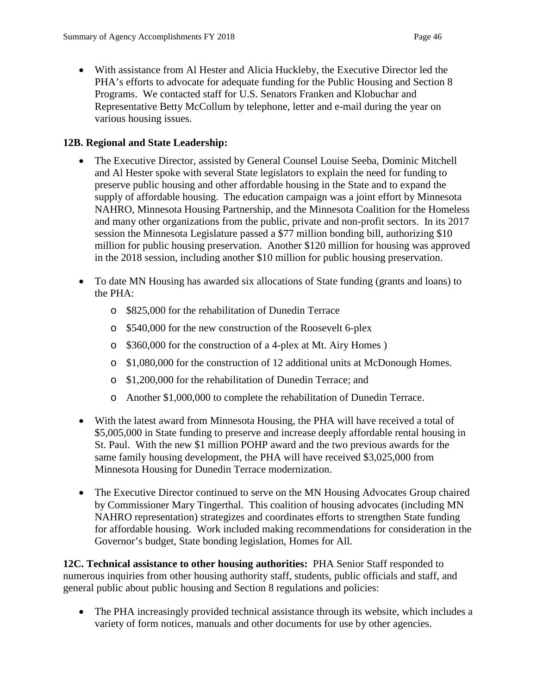• With assistance from Al Hester and Alicia Huckleby, the Executive Director led the PHA's efforts to advocate for adequate funding for the Public Housing and Section 8 Programs. We contacted staff for U.S. Senators Franken and Klobuchar and Representative Betty McCollum by telephone, letter and e-mail during the year on various housing issues.

#### **12B. Regional and State Leadership:**

- The Executive Director, assisted by General Counsel Louise Seeba, Dominic Mitchell and Al Hester spoke with several State legislators to explain the need for funding to preserve public housing and other affordable housing in the State and to expand the supply of affordable housing. The education campaign was a joint effort by Minnesota NAHRO, Minnesota Housing Partnership, and the Minnesota Coalition for the Homeless and many other organizations from the public, private and non-profit sectors. In its 2017 session the Minnesota Legislature passed a \$77 million bonding bill, authorizing \$10 million for public housing preservation. Another \$120 million for housing was approved in the 2018 session, including another \$10 million for public housing preservation.
- To date MN Housing has awarded six allocations of State funding (grants and loans) to the PHA:
	- o \$825,000 for the rehabilitation of Dunedin Terrace
	- o \$540,000 for the new construction of the Roosevelt 6-plex
	- o \$360,000 for the construction of a 4-plex at Mt. Airy Homes )
	- o \$1,080,000 for the construction of 12 additional units at McDonough Homes.
	- o \$1,200,000 for the rehabilitation of Dunedin Terrace; and
	- o Another \$1,000,000 to complete the rehabilitation of Dunedin Terrace.
- With the latest award from Minnesota Housing, the PHA will have received a total of \$5,005,000 in State funding to preserve and increase deeply affordable rental housing in St. Paul. With the new \$1 million POHP award and the two previous awards for the same family housing development, the PHA will have received \$3,025,000 from Minnesota Housing for Dunedin Terrace modernization.
- The Executive Director continued to serve on the MN Housing Advocates Group chaired by Commissioner Mary Tingerthal. This coalition of housing advocates (including MN NAHRO representation) strategizes and coordinates efforts to strengthen State funding for affordable housing. Work included making recommendations for consideration in the Governor's budget, State bonding legislation, Homes for All.

**12C. Technical assistance to other housing authorities:** PHA Senior Staff responded to numerous inquiries from other housing authority staff, students, public officials and staff, and general public about public housing and Section 8 regulations and policies:

• The PHA increasingly provided technical assistance through its website, which includes a variety of form notices, manuals and other documents for use by other agencies.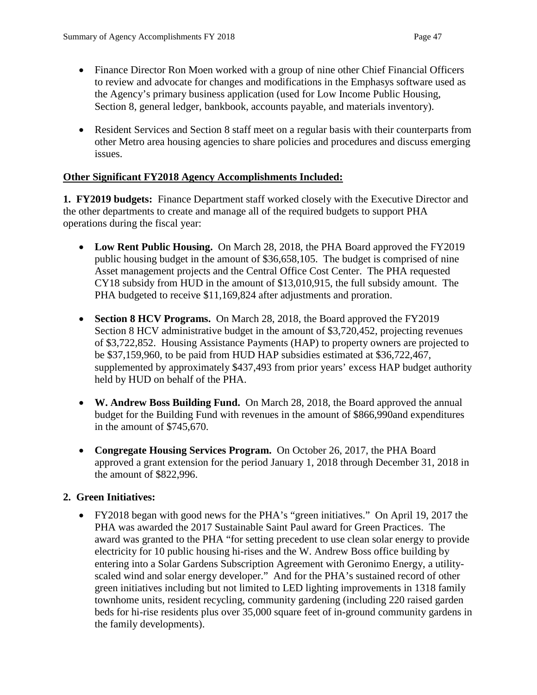- Finance Director Ron Moen worked with a group of nine other Chief Financial Officers to review and advocate for changes and modifications in the Emphasys software used as the Agency's primary business application (used for Low Income Public Housing, Section 8, general ledger, bankbook, accounts payable, and materials inventory).
- Resident Services and Section 8 staff meet on a regular basis with their counterparts from other Metro area housing agencies to share policies and procedures and discuss emerging issues.

### **Other Significant FY2018 Agency Accomplishments Included:**

**1. FY2019 budgets:** Finance Department staff worked closely with the Executive Director and the other departments to create and manage all of the required budgets to support PHA operations during the fiscal year:

- **Low Rent Public Housing.** On March 28, 2018, the PHA Board approved the FY2019 public housing budget in the amount of \$36,658,105. The budget is comprised of nine Asset management projects and the Central Office Cost Center. The PHA requested CY18 subsidy from HUD in the amount of \$13,010,915, the full subsidy amount. The PHA budgeted to receive \$11,169,824 after adjustments and proration.
- **Section 8 HCV Programs.** On March 28, 2018, the Board approved the FY2019 Section 8 HCV administrative budget in the amount of \$3,720,452, projecting revenues of \$3,722,852. Housing Assistance Payments (HAP) to property owners are projected to be \$37,159,960, to be paid from HUD HAP subsidies estimated at \$36,722,467, supplemented by approximately \$437,493 from prior years' excess HAP budget authority held by HUD on behalf of the PHA.
- **W. Andrew Boss Building Fund.** On March 28, 2018, the Board approved the annual budget for the Building Fund with revenues in the amount of \$866,990and expenditures in the amount of \$745,670.
- **Congregate Housing Services Program.** On October 26, 2017, the PHA Board approved a grant extension for the period January 1, 2018 through December 31, 2018 in the amount of \$822,996.

# **2. Green Initiatives:**

• FY2018 began with good news for the PHA's "green initiatives." On April 19, 2017 the PHA was awarded the 2017 Sustainable Saint Paul award for Green Practices. The award was granted to the PHA "for setting precedent to use clean solar energy to provide electricity for 10 public housing hi-rises and the W. Andrew Boss office building by entering into a Solar Gardens Subscription Agreement with Geronimo Energy, a utilityscaled wind and solar energy developer." And for the PHA's sustained record of other green initiatives including but not limited to LED lighting improvements in 1318 family townhome units, resident recycling, community gardening (including 220 raised garden beds for hi-rise residents plus over 35,000 square feet of in-ground community gardens in the family developments).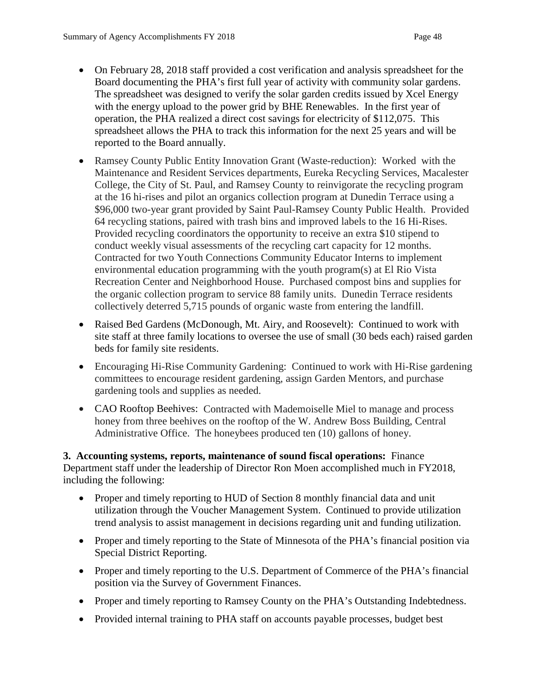- On February 28, 2018 staff provided a cost verification and analysis spreadsheet for the Board documenting the PHA's first full year of activity with community solar gardens. The spreadsheet was designed to verify the solar garden credits issued by Xcel Energy with the energy upload to the power grid by BHE Renewables. In the first year of operation, the PHA realized a direct cost savings for electricity of \$112,075. This spreadsheet allows the PHA to track this information for the next 25 years and will be reported to the Board annually.
- Ramsey County Public Entity Innovation Grant (Waste-reduction): Worked with the Maintenance and Resident Services departments, Eureka Recycling Services, Macalester College, the City of St. Paul, and Ramsey County to reinvigorate the recycling program at the 16 hi-rises and pilot an organics collection program at Dunedin Terrace using a \$96,000 two-year grant provided by Saint Paul-Ramsey County Public Health. Provided 64 recycling stations, paired with trash bins and improved labels to the 16 Hi-Rises. Provided recycling coordinators the opportunity to receive an extra \$10 stipend to conduct weekly visual assessments of the recycling cart capacity for 12 months. Contracted for two Youth Connections Community Educator Interns to implement environmental education programming with the youth program(s) at El Rio Vista Recreation Center and Neighborhood House. Purchased compost bins and supplies for the organic collection program to service 88 family units. Dunedin Terrace residents collectively deterred 5,715 pounds of organic waste from entering the landfill.
- Raised Bed Gardens (McDonough, Mt. Airy, and Roosevelt): Continued to work with site staff at three family locations to oversee the use of small (30 beds each) raised garden beds for family site residents.
- Encouraging Hi-Rise Community Gardening: Continued to work with Hi-Rise gardening committees to encourage resident gardening, assign Garden Mentors, and purchase gardening tools and supplies as needed.
- CAO Rooftop Beehives: Contracted with Mademoiselle Miel to manage and process honey from three beehives on the rooftop of the W. Andrew Boss Building, Central Administrative Office. The honeybees produced ten (10) gallons of honey.

**3. Accounting systems, reports, maintenance of sound fiscal operations:** Finance Department staff under the leadership of Director Ron Moen accomplished much in FY2018, including the following:

- Proper and timely reporting to HUD of Section 8 monthly financial data and unit utilization through the Voucher Management System. Continued to provide utilization trend analysis to assist management in decisions regarding unit and funding utilization.
- Proper and timely reporting to the State of Minnesota of the PHA's financial position via Special District Reporting.
- Proper and timely reporting to the U.S. Department of Commerce of the PHA's financial position via the Survey of Government Finances.
- Proper and timely reporting to Ramsey County on the PHA's Outstanding Indebtedness.
- Provided internal training to PHA staff on accounts payable processes, budget best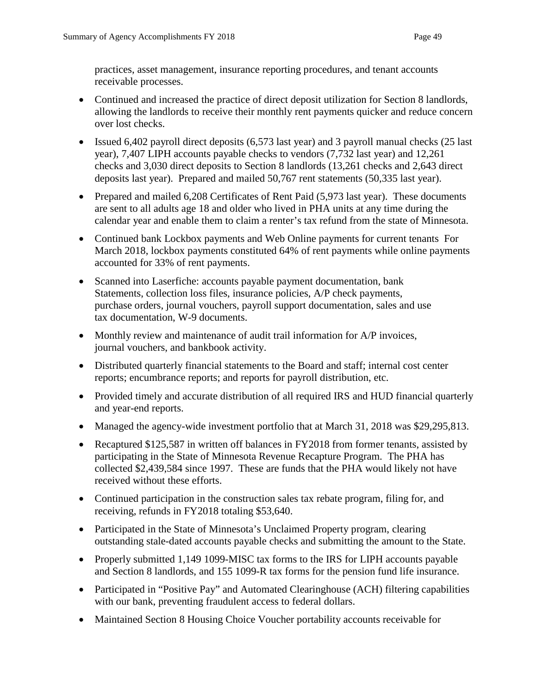practices, asset management, insurance reporting procedures, and tenant accounts receivable processes.

- Continued and increased the practice of direct deposit utilization for Section 8 landlords, allowing the landlords to receive their monthly rent payments quicker and reduce concern over lost checks.
- Issued 6,402 payroll direct deposits (6,573 last year) and 3 payroll manual checks (25 last year), 7,407 LIPH accounts payable checks to vendors (7,732 last year) and 12,261 checks and 3,030 direct deposits to Section 8 landlords (13,261 checks and 2,643 direct deposits last year). Prepared and mailed 50,767 rent statements (50,335 last year).
- Prepared and mailed 6,208 Certificates of Rent Paid (5,973 last year). These documents are sent to all adults age 18 and older who lived in PHA units at any time during the calendar year and enable them to claim a renter's tax refund from the state of Minnesota.
- Continued bank Lockbox payments and Web Online payments for current tenants For March 2018, lockbox payments constituted 64% of rent payments while online payments accounted for 33% of rent payments.
- Scanned into Laserfiche: accounts payable payment documentation, bank Statements, collection loss files, insurance policies, A/P check payments, purchase orders, journal vouchers, payroll support documentation, sales and use tax documentation, W-9 documents.
- Monthly review and maintenance of audit trail information for A/P invoices, journal vouchers, and bankbook activity.
- Distributed quarterly financial statements to the Board and staff; internal cost center reports; encumbrance reports; and reports for payroll distribution, etc.
- Provided timely and accurate distribution of all required IRS and HUD financial quarterly and year-end reports.
- Managed the agency-wide investment portfolio that at March 31, 2018 was \$29,295,813.
- Recaptured \$125,587 in written off balances in FY2018 from former tenants, assisted by participating in the State of Minnesota Revenue Recapture Program. The PHA has collected \$2,439,584 since 1997. These are funds that the PHA would likely not have received without these efforts.
- Continued participation in the construction sales tax rebate program, filing for, and receiving, refunds in FY2018 totaling \$53,640.
- Participated in the State of Minnesota's Unclaimed Property program, clearing outstanding stale-dated accounts payable checks and submitting the amount to the State.
- Properly submitted 1,149 1099-MISC tax forms to the IRS for LIPH accounts payable and Section 8 landlords, and 155 1099-R tax forms for the pension fund life insurance.
- Participated in "Positive Pay" and Automated Clearinghouse (ACH) filtering capabilities with our bank, preventing fraudulent access to federal dollars.
- Maintained Section 8 Housing Choice Voucher portability accounts receivable for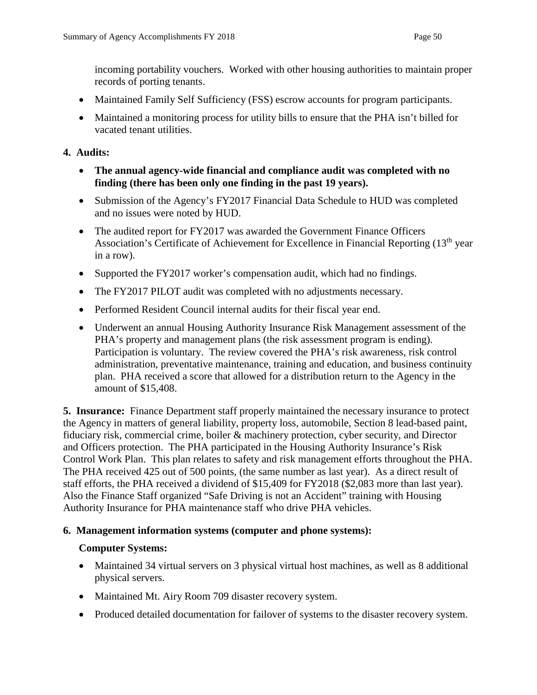incoming portability vouchers. Worked with other housing authorities to maintain proper records of porting tenants.

- Maintained Family Self Sufficiency (FSS) escrow accounts for program participants.
- Maintained a monitoring process for utility bills to ensure that the PHA isn't billed for vacated tenant utilities.

# **4. Audits:**

- **The annual agency-wide financial and compliance audit was completed with no finding (there has been only one finding in the past 19 years).**
- Submission of the Agency's FY2017 Financial Data Schedule to HUD was completed and no issues were noted by HUD.
- The audited report for FY2017 was awarded the Government Finance Officers Association's Certificate of Achievement for Excellence in Financial Reporting (13<sup>th</sup> year in a row).
- Supported the FY2017 worker's compensation audit, which had no findings.
- The FY2017 PILOT audit was completed with no adjustments necessary.
- Performed Resident Council internal audits for their fiscal year end.
- Underwent an annual Housing Authority Insurance Risk Management assessment of the PHA's property and management plans (the risk assessment program is ending). Participation is voluntary. The review covered the PHA's risk awareness, risk control administration, preventative maintenance, training and education, and business continuity plan. PHA received a score that allowed for a distribution return to the Agency in the amount of \$15,408.

**5. Insurance:** Finance Department staff properly maintained the necessary insurance to protect the Agency in matters of general liability, property loss, automobile, Section 8 lead-based paint, fiduciary risk, commercial crime, boiler & machinery protection, cyber security, and Director and Officers protection. The PHA participated in the Housing Authority Insurance's Risk Control Work Plan. This plan relates to safety and risk management efforts throughout the PHA. The PHA received 425 out of 500 points, (the same number as last year). As a direct result of staff efforts, the PHA received a dividend of \$15,409 for FY2018 (\$2,083 more than last year). Also the Finance Staff organized "Safe Driving is not an Accident" training with Housing Authority Insurance for PHA maintenance staff who drive PHA vehicles.

# **6. Management information systems (computer and phone systems):**

# **Computer Systems:**

- Maintained 34 virtual servers on 3 physical virtual host machines, as well as 8 additional physical servers.
- Maintained Mt. Airy Room 709 disaster recovery system.
- Produced detailed documentation for failover of systems to the disaster recovery system.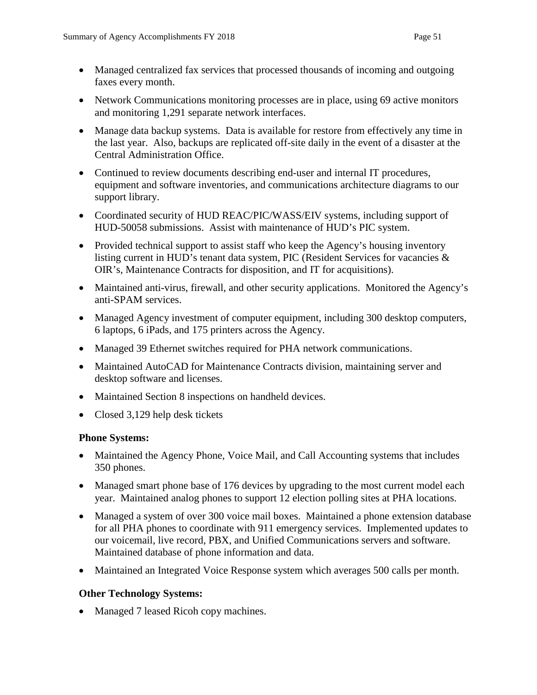- Managed centralized fax services that processed thousands of incoming and outgoing faxes every month.
- Network Communications monitoring processes are in place, using 69 active monitors and monitoring 1,291 separate network interfaces.
- Manage data backup systems. Data is available for restore from effectively any time in the last year. Also, backups are replicated off-site daily in the event of a disaster at the Central Administration Office.
- Continued to review documents describing end-user and internal IT procedures, equipment and software inventories, and communications architecture diagrams to our support library.
- Coordinated security of HUD REAC/PIC/WASS/EIV systems, including support of HUD-50058 submissions. Assist with maintenance of HUD's PIC system.
- Provided technical support to assist staff who keep the Agency's housing inventory listing current in HUD's tenant data system, PIC (Resident Services for vacancies & OIR's, Maintenance Contracts for disposition, and IT for acquisitions).
- Maintained anti-virus, firewall, and other security applications. Monitored the Agency's anti-SPAM services.
- Managed Agency investment of computer equipment, including 300 desktop computers, 6 laptops, 6 iPads, and 175 printers across the Agency.
- Managed 39 Ethernet switches required for PHA network communications.
- Maintained AutoCAD for Maintenance Contracts division, maintaining server and desktop software and licenses.
- Maintained Section 8 inspections on handheld devices.
- Closed 3,129 help desk tickets

# **Phone Systems:**

- Maintained the Agency Phone, Voice Mail, and Call Accounting systems that includes 350 phones.
- Managed smart phone base of 176 devices by upgrading to the most current model each year. Maintained analog phones to support 12 election polling sites at PHA locations.
- Managed a system of over 300 voice mail boxes. Maintained a phone extension database for all PHA phones to coordinate with 911 emergency services. Implemented updates to our voicemail, live record, PBX, and Unified Communications servers and software. Maintained database of phone information and data.
- Maintained an Integrated Voice Response system which averages 500 calls per month.

# **Other Technology Systems:**

• Managed 7 leased Ricoh copy machines.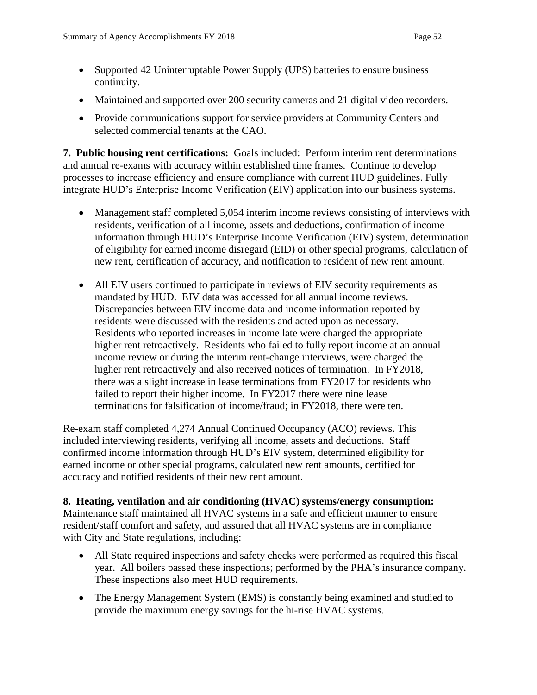- Supported 42 Uninterruptable Power Supply (UPS) batteries to ensure business continuity.
- Maintained and supported over 200 security cameras and 21 digital video recorders.
- Provide communications support for service providers at Community Centers and selected commercial tenants at the CAO.

**7. Public housing rent certifications:** Goals included: Perform interim rent determinations and annual re-exams with accuracy within established time frames. Continue to develop processes to increase efficiency and ensure compliance with current HUD guidelines. Fully integrate HUD's Enterprise Income Verification (EIV) application into our business systems.

- Management staff completed 5,054 interim income reviews consisting of interviews with residents, verification of all income, assets and deductions, confirmation of income information through HUD's Enterprise Income Verification (EIV) system, determination of eligibility for earned income disregard (EID) or other special programs, calculation of new rent, certification of accuracy, and notification to resident of new rent amount.
- All EIV users continued to participate in reviews of EIV security requirements as mandated by HUD. EIV data was accessed for all annual income reviews. Discrepancies between EIV income data and income information reported by residents were discussed with the residents and acted upon as necessary. Residents who reported increases in income late were charged the appropriate higher rent retroactively. Residents who failed to fully report income at an annual income review or during the interim rent-change interviews, were charged the higher rent retroactively and also received notices of termination. In FY2018, there was a slight increase in lease terminations from FY2017 for residents who failed to report their higher income. In FY2017 there were nine lease terminations for falsification of income/fraud; in FY2018, there were ten.

Re-exam staff completed 4,274 Annual Continued Occupancy (ACO) reviews. This included interviewing residents, verifying all income, assets and deductions. Staff confirmed income information through HUD's EIV system, determined eligibility for earned income or other special programs, calculated new rent amounts, certified for accuracy and notified residents of their new rent amount.

#### **8. Heating, ventilation and air conditioning (HVAC) systems/energy consumption:**

Maintenance staff maintained all HVAC systems in a safe and efficient manner to ensure resident/staff comfort and safety, and assured that all HVAC systems are in compliance with City and State regulations, including:

- All State required inspections and safety checks were performed as required this fiscal year. All boilers passed these inspections; performed by the PHA's insurance company. These inspections also meet HUD requirements.
- The Energy Management System (EMS) is constantly being examined and studied to provide the maximum energy savings for the hi-rise HVAC systems.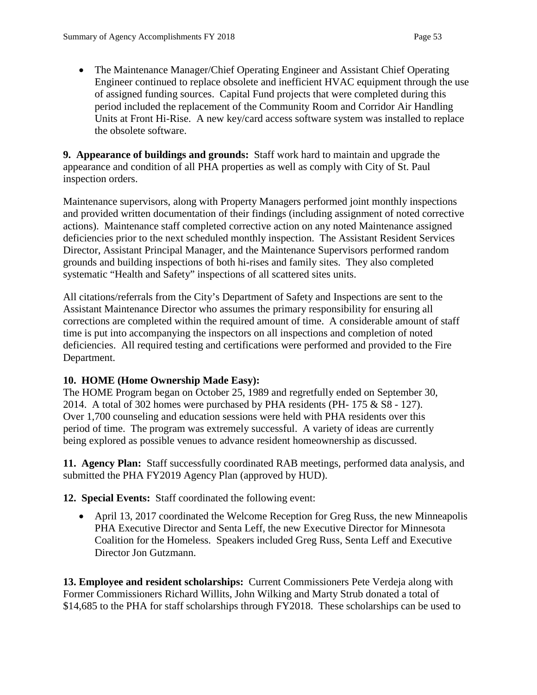• The Maintenance Manager/Chief Operating Engineer and Assistant Chief Operating Engineer continued to replace obsolete and inefficient HVAC equipment through the use of assigned funding sources. Capital Fund projects that were completed during this period included the replacement of the Community Room and Corridor Air Handling Units at Front Hi-Rise. A new key/card access software system was installed to replace the obsolete software.

**9. Appearance of buildings and grounds:** Staff work hard to maintain and upgrade the appearance and condition of all PHA properties as well as comply with City of St. Paul inspection orders.

Maintenance supervisors, along with Property Managers performed joint monthly inspections and provided written documentation of their findings (including assignment of noted corrective actions). Maintenance staff completed corrective action on any noted Maintenance assigned deficiencies prior to the next scheduled monthly inspection. The Assistant Resident Services Director, Assistant Principal Manager, and the Maintenance Supervisors performed random grounds and building inspections of both hi-rises and family sites. They also completed systematic "Health and Safety" inspections of all scattered sites units.

All citations/referrals from the City's Department of Safety and Inspections are sent to the Assistant Maintenance Director who assumes the primary responsibility for ensuring all corrections are completed within the required amount of time. A considerable amount of staff time is put into accompanying the inspectors on all inspections and completion of noted deficiencies. All required testing and certifications were performed and provided to the Fire Department.

# **10. HOME (Home Ownership Made Easy):**

The HOME Program began on October 25, 1989 and regretfully ended on September 30, 2014. A total of 302 homes were purchased by PHA residents (PH- 175 & S8 - 127). Over 1,700 counseling and education sessions were held with PHA residents over this period of time. The program was extremely successful. A variety of ideas are currently being explored as possible venues to advance resident homeownership as discussed.

**11. Agency Plan:** Staff successfully coordinated RAB meetings, performed data analysis, and submitted the PHA FY2019 Agency Plan (approved by HUD).

**12. Special Events:** Staff coordinated the following event:

• April 13, 2017 coordinated the Welcome Reception for Greg Russ, the new Minneapolis PHA Executive Director and Senta Leff, the new Executive Director for Minnesota Coalition for the Homeless. Speakers included Greg Russ, Senta Leff and Executive Director Jon Gutzmann.

**13. Employee and resident scholarships:** Current Commissioners Pete Verdeja along with Former Commissioners Richard Willits, John Wilking and Marty Strub donated a total of \$14,685 to the PHA for staff scholarships through FY2018. These scholarships can be used to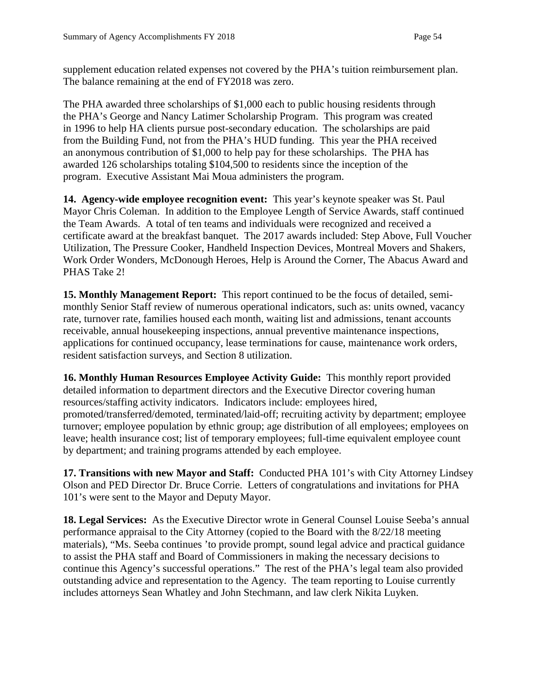supplement education related expenses not covered by the PHA's tuition reimbursement plan. The balance remaining at the end of FY2018 was zero.

The PHA awarded three scholarships of \$1,000 each to public housing residents through the PHA's George and Nancy Latimer Scholarship Program. This program was created in 1996 to help HA clients pursue post-secondary education. The scholarships are paid from the Building Fund, not from the PHA's HUD funding. This year the PHA received an anonymous contribution of \$1,000 to help pay for these scholarships. The PHA has awarded 126 scholarships totaling \$104,500 to residents since the inception of the program. Executive Assistant Mai Moua administers the program.

**14. Agency-wide employee recognition event:** This year's keynote speaker was St. Paul Mayor Chris Coleman. In addition to the Employee Length of Service Awards, staff continued the Team Awards. A total of ten teams and individuals were recognized and received a certificate award at the breakfast banquet. The 2017 awards included: Step Above, Full Voucher Utilization, The Pressure Cooker, Handheld Inspection Devices, Montreal Movers and Shakers, Work Order Wonders, McDonough Heroes, Help is Around the Corner, The Abacus Award and PHAS Take 2!

**15. Monthly Management Report:** This report continued to be the focus of detailed, semimonthly Senior Staff review of numerous operational indicators, such as: units owned, vacancy rate, turnover rate, families housed each month, waiting list and admissions, tenant accounts receivable, annual housekeeping inspections, annual preventive maintenance inspections, applications for continued occupancy, lease terminations for cause, maintenance work orders, resident satisfaction surveys, and Section 8 utilization.

**16. Monthly Human Resources Employee Activity Guide:** This monthly report provided detailed information to department directors and the Executive Director covering human resources/staffing activity indicators. Indicators include: employees hired, promoted/transferred/demoted, terminated/laid-off; recruiting activity by department; employee turnover; employee population by ethnic group; age distribution of all employees; employees on leave; health insurance cost; list of temporary employees; full-time equivalent employee count by department; and training programs attended by each employee.

**17. Transitions with new Mayor and Staff:** Conducted PHA 101's with City Attorney Lindsey Olson and PED Director Dr. Bruce Corrie. Letters of congratulations and invitations for PHA 101's were sent to the Mayor and Deputy Mayor.

**18. Legal Services:** As the Executive Director wrote in General Counsel Louise Seeba's annual performance appraisal to the City Attorney (copied to the Board with the 8/22/18 meeting materials), "Ms. Seeba continues 'to provide prompt, sound legal advice and practical guidance to assist the PHA staff and Board of Commissioners in making the necessary decisions to continue this Agency's successful operations." The rest of the PHA's legal team also provided outstanding advice and representation to the Agency. The team reporting to Louise currently includes attorneys Sean Whatley and John Stechmann, and law clerk Nikita Luyken.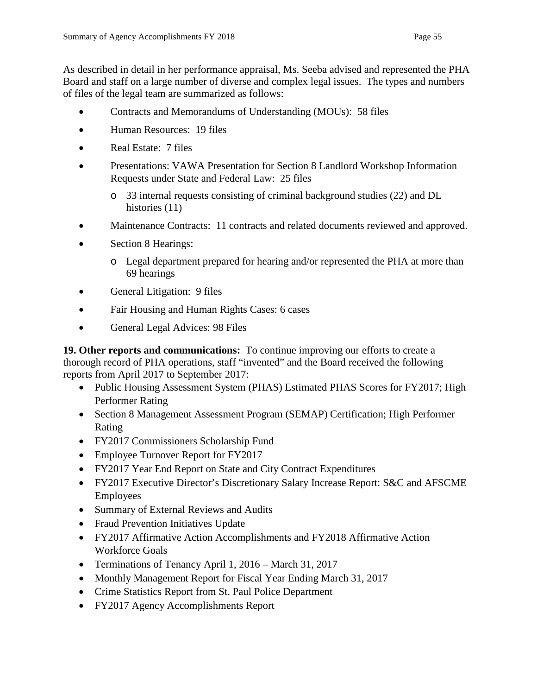As described in detail in her performance appraisal, Ms. Seeba advised and represented the PHA Board and staff on a large number of diverse and complex legal issues. The types and numbers of files of the legal team are summarized as follows:

- Contracts and Memorandums of Understanding (MOUs): 58 files
- Human Resources: 19 files
- Real Estate: 7 files
- Presentations: VAWA Presentation for Section 8 Landlord Workshop Information Requests under State and Federal Law: 25 files
	- o 33 internal requests consisting of criminal background studies (22) and DL histories (11)
- Maintenance Contracts: 11 contracts and related documents reviewed and approved.
- Section 8 Hearings:
	- o Legal department prepared for hearing and/or represented the PHA at more than 69 hearings
- General Litigation: 9 files
- Fair Housing and Human Rights Cases: 6 cases
- General Legal Advices: 98 Files

**19. Other reports and communications:** To continue improving our efforts to create a thorough record of PHA operations, staff "invented" and the Board received the following reports from April 2017 to September 2017:

- Public Housing Assessment System (PHAS) Estimated PHAS Scores for FY2017; High Performer Rating
- Section 8 Management Assessment Program (SEMAP) Certification; High Performer Rating
- FY2017 Commissioners Scholarship Fund
- Employee Turnover Report for FY2017
- FY2017 Year End Report on State and City Contract Expenditures
- FY2017 Executive Director's Discretionary Salary Increase Report: S&C and AFSCME Employees
- Summary of External Reviews and Audits
- Fraud Prevention Initiatives Update
- FY2017 Affirmative Action Accomplishments and FY2018 Affirmative Action Workforce Goals
- Terminations of Tenancy April 1, 2016 March 31, 2017
- Monthly Management Report for Fiscal Year Ending March 31, 2017
- Crime Statistics Report from St. Paul Police Department
- FY2017 Agency Accomplishments Report